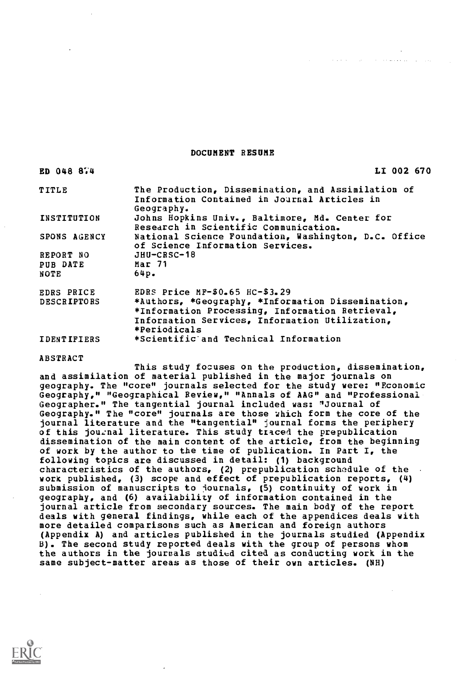#### DOCUMENT RESUME

| ED 048 874         | LI 002 670                                                                               |
|--------------------|------------------------------------------------------------------------------------------|
| TITLE              | The Production, Dissemination, and Assimilation of                                       |
|                    | Information Contained in Journal Articles in<br>Geography.                               |
| INSTITUTION        | Johns Hopkins Univ., Baltimore, Md. Center for                                           |
|                    | Research in Scientific Communication.                                                    |
| SPONS AGENCY       | National Science Foundation, Washington, D.C. Office<br>of Science Information Services. |
| REPORT NO          | $JHU-CRSC-18$                                                                            |
| PUB DATE           | Mar 71                                                                                   |
| NOTE               | 64p.                                                                                     |
| <b>EDRS PRICE</b>  | EDRS Price $MF-$0.65$ HC-\$3.29                                                          |
| <b>DESCRIPTORS</b> | *Authors, *Geography, *Information Dissemination,                                        |
|                    | *Information Processing, Information Retrieval,                                          |
|                    | Information Services, Information Utilization,<br>*Periodicals                           |
| <b>IDENTIFIERS</b> | *Scientific and Technical Information                                                    |
|                    |                                                                                          |

#### ABSTRACT

This study focuses on the production, dissemination, and assimilation of material published in the major journals on geography. The "core" journals selected for the study were: "Economic Geography," "Geographical Review," "Annals of AAG" and "Professional Geographer." The tangential journal included was: "Journal of Geography." The "core" journals are those which form the core of the journal literature and the "tangential" journal forms the periphery of this journal literature. This study traced the prepublication dissemination of the main content of the article, from the beginning of work by the author to the time of publication. In Part I, the following topics are discussed in detail: (1) background characteristics of the authors, (2) prepublication schedule of the work published, (3) scope and effect of prepublication reports, (4) submission of manuscripts to journals, (5) continuity of work in geography, and (6) availability of information contained in the journal article from secondary sources. The main body of the report deals with general findings, while each of the appendices deals with more detailed comparisons such as American and foreign authors (Appendix A) and articles published in the journals studied (Appendix B). The second study reported deals with the group of persons whom the authors in the journals studied cited as conducting work in the same subject-matter areas as those of their own articles. (NH)

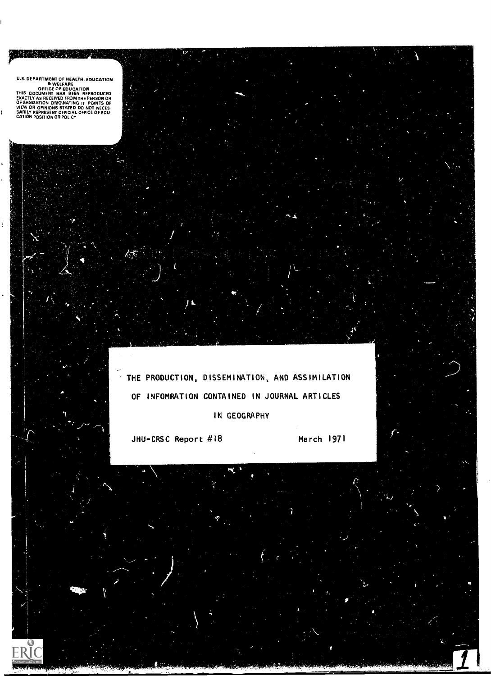U.S. DEPARTMENT OF HEALTH. EDUCATION<br> **BULEARE**<br> **BULEARE**<br>THIS DOCUMENT HAS BEEN REPRODUCED<br>EXACTLY AS RECEIVED FROM THE PERSON OR<br>DECANIZATION ORIGINATING IT PONTS OF<br>
DIEW OR OPINIONS STATED DO NOT NECES<br>SARILY REPRESEN

THE PRODUCTION, DISSEMINATION, AND ASSIMILATION OF INFOMRATION CONTAINED IN JOURNAL ARTICLES IN GEOGRAPHY

JHU-CRSC Report #18 March 1971

 $\bar{\psi}$ 

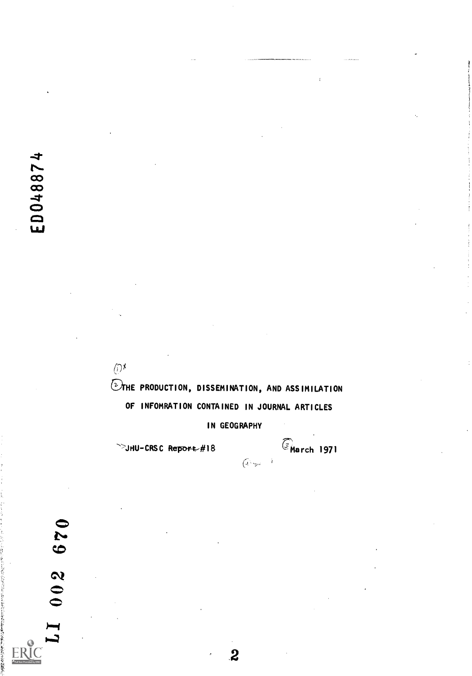$\sim$  $\infty$  and  $\infty$  $04$  $\infty$  $\blacksquare$ 

> OTHE PRODUCTION, DISSEMINATION, AND ASSIMILATION OF INFOMRATION CONTAINED IN JOURNAL ARTICLES

> > IN GEOGRAPHY

2

 $(1)$ 

SJHU-CRSC Report #18  $\bigcirc$  March 1971

670  $002$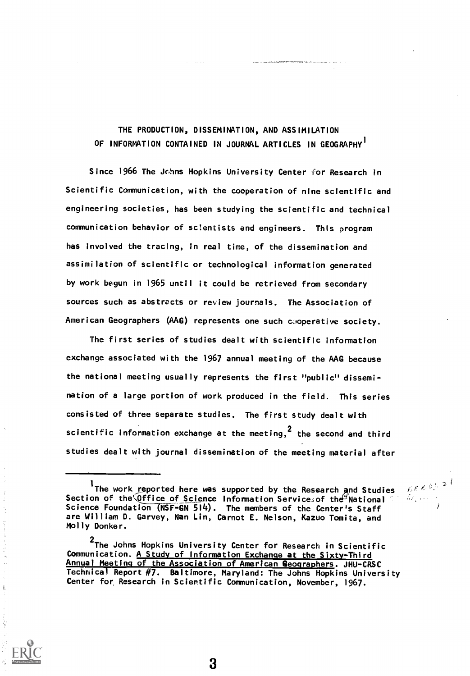# THE PRODUCTION, DISSEMINATION, AND ASSIMILATION OF INFORMATION CONTAINED IN JOURNAL ARTICLES IN GEOGRAPHY

Since 1966 The Johns Hopkins University Center for Research in Scientific Communication, with the cooperation of nine scientific and engineering societies, has been studying the scientific and technical communication behavior of scientists and engineers. This program has involved the tracing, in real time, of the dissemination and assimilation of scientific or technological information generated by work begun in 1965 until it could be retrieved from secondary sources such as abstracts or review journals. The Association of American Geographers (AAG) represents one such cooperative society.

The first series of studies dealt with scientific information exchange associated with the 1967 annual meeting of the AAG because the national meeting usually represents the first "public" dissemination of a large portion of work produced in the field. This series consisted of three separate studies. The first study dealt with scientific information exchange at the meeting,<sup>2</sup> the second and third studies dealt with journal dissemination of the meeting material after

 $E E E \frac{3!}{2!}$ 

3

 $\mathbf{L}$ 

<sup>&</sup>lt;sup>1</sup> The work reported here was supported by the Research and Studies - Section of the Office of Science Information Servicesof the Phational Section of the Office of Science Information Servicesof the Phational Section Science Foundation (NSF-GN 514). The members of the Center's Staff are William D. Garvey, Nan Lin, Carnot E. Nelson, Kazuo Tomita, and Molly Donker.

<sup>&</sup>lt;sup>2</sup>The Johns Hopkins University Center for Research in Scientific Communication. A Study of Information Exchange at the Sixty-Third Annual Meeting of the Association of American Geographers. JHU-CRSC Technical Report #7. Baltimore, Maryland: The Johns Hopkins University Center for Research in Scientific Communication, November, 1967.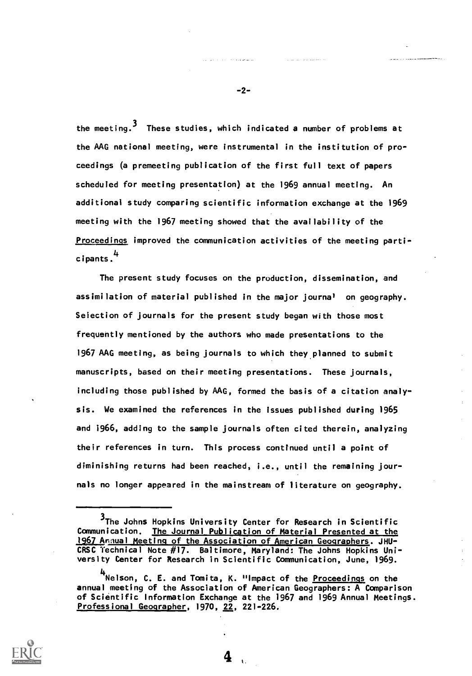the meeting.<sup>3</sup> These studies, which indicated a number of problems at the AAG national meeting, were instrumental in the institution of proceedings (a premeeting publication of the first full text of papers scheduled for meeting presentation) at the 1969 annual meeting. An additional study comparing scientific information exchange at the 1969 meeting with the 1967 meeting showed that the availability of the Proceedings improved the communication activities of the meeting participants. <sup>4</sup>

The present study focuses on the production, dissemination, and assimilation of material published in the major journal on geography. Seiection of journals for the present study began with those most frequently mentioned by the authors who made presentations to the 1967 AAG meeting, as being journals to which they planned to submit manuscripts, based on their meeting presentations. These journals, including those published by AAG, formed the basis of a citation analysis. We examined the references in the issues published during 1965 and 1966, adding to the sample journals often cited therein, analyzing their references in turn. This process continued until a point of diminishing returns had been reached, i.e., until the remaining journals no longer appeared in the mainstream of literature on geography.



-2-

<sup>3</sup>The Johns Hopkins University Center for Research in Scientific Communication. The Journal Publication of Material Presented at the 1967Annual Meeting of the Association of American Geographers. JHU-CRSC Technical Note #17. Baltimore, Maryland: The Johns Hopkins University Center for Research in Scientific Communication, June, 1969.

<sup>4&</sup>lt;br><sup>'</sup>Nelson, C. E. and Tomita, K. "Impact of the <u>Proceedings</u> on the annual meeting of the Association of American Geographers: A Comparison of Scientific Information Exchange at the 1967 and 1969 Annual Meetings. Professional Geographer, 1970, 22, 221-226.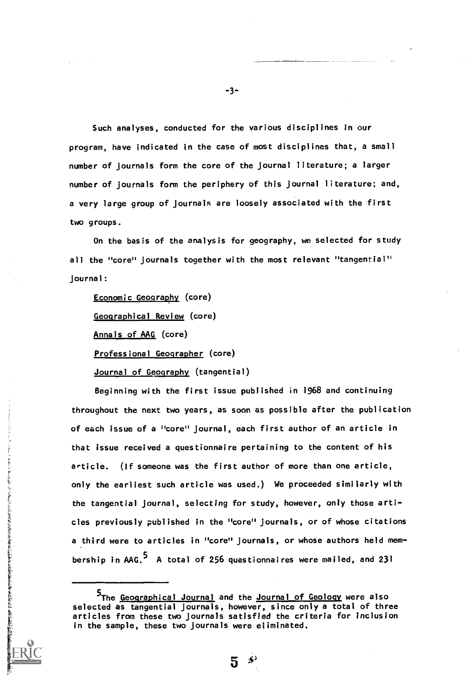Such analyses, conducted for the various disciplines in our program, have indicated in the case of most disciplines that, a small number of journals form the core of the journal literature; a larger number of journals form the periphery of this journal literature; and, a very large group of journals are loosely associated with the first two groups.

On the basis of the analysis for geography, we selected for study all the "core" journals together with the most relevant "tangential" journal:

Economic Geography (core) Geographical Review (core) Annals of AAG (core) Professional Geographer (core) Journal of Geography (tangential)

Beginning with the first issue published in 1968 and continuing throughout the next two years, as soon as possible after the publication of each issue of a "core" journal, each first author of an article in that issue received a questionnaire pertaining to the content of his article. (If someone was the first author of more than one article, only the earliest such article was used.) We proceeded similarly with the tangential journal, selecting for study, however, only those articles previously published in the "core" journals, or of whose citations a third were to articles in "core" journals, or whose authors held membership in  $AAG$ ,  $5$  A total of 256 questionnaires were mailed, and 231

-3-

The Geographical Journal and the Journal of Geology were also selected as tangential journals, however, since only a total of three articles from these two journals satisfied the criteria for inclusion in the sample, these two journals were eliminated.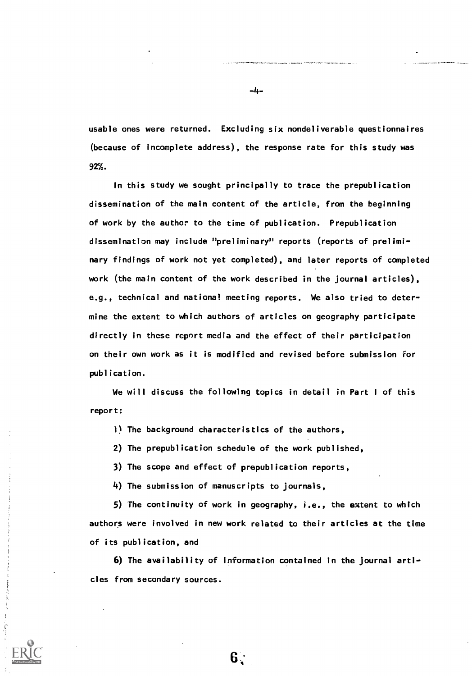usable ones were returned. Excluding six nondeliverabie questionnaires (because of incomplete address), the response rate for this study was 92%.

In this study we sought principally to trace the prepublication dissemination of the main content of the article, from the beginning of work by the author to the time of publication. Prepublication dissemination may include "preliminary" reports (reports of preliminary findings of work not yet completed), and later reports of completed work (the main content of the work described in the journal articles), e.g., technical and national meeting reports. We also tried to determine the extent to which authors of articles on geography participate directly in these report media and the effect of their participation on their own work as it is modified and revised before submission for publication.

We will discuss the following topics in detail in Part <sup>I</sup> of this report:

1) The background characteristics of the authors,

2) The prepublication schedule of the work published,

3) The scope and effect of prepublication reports,

4) The submission of manuscripts to journals,

5) The continuity of work in geography, i.e., the extent to which authors were involved in new work related to their articles at the time of its publication, and

6) The availability of information contained in the journal articles from secondary sources.

6 :

-4-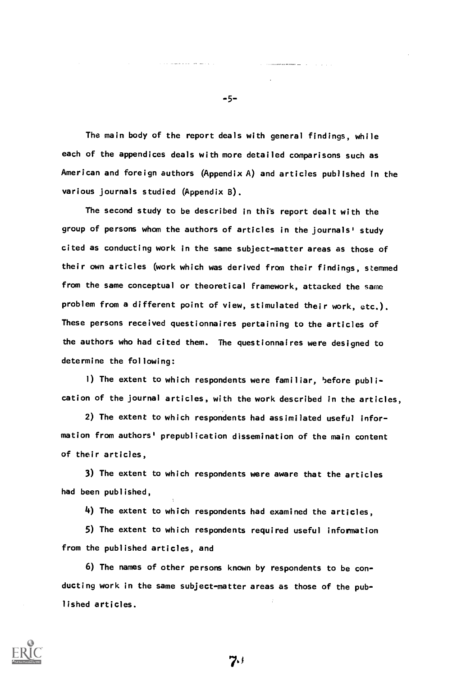The main body of the report deals with general findings, while each of the appendices deals with more detailed comparisons such as American and foreign authors (Appendix A) and articles published in the various journals studied (Appendix B).

The second study to be described in this report dealt with the group of persons whom the authors of articles in the journals' study cited as conducting work in the same subject-matter areas as those of their own articles (work which was derived from their findings, stemmed from the same conceptual or theoretical framework, attacked the same problem from a different point of view, stimulated their work, etc.). These persons received questionnaires pertaining to the articles of the authors who had cited them. The questionnaires were designed to determine the following:

1) The extent to which respondents were familiar, before publication of the journal articles, with the work described in the articles,

2) The extent to which respondents had assimilated useful information from authors' prepublication dissemination of the main content of their articles,

3) The extent to which respondents were aware that the articles had been published,

4) The extent to which respondents had examined the articles,

5) The extent to which respondents required useful information from the published articles, and

6) The names of other persons known by respondents to be con ducting work in the same subject-matter areas as those of the published articles.



-5-

7.1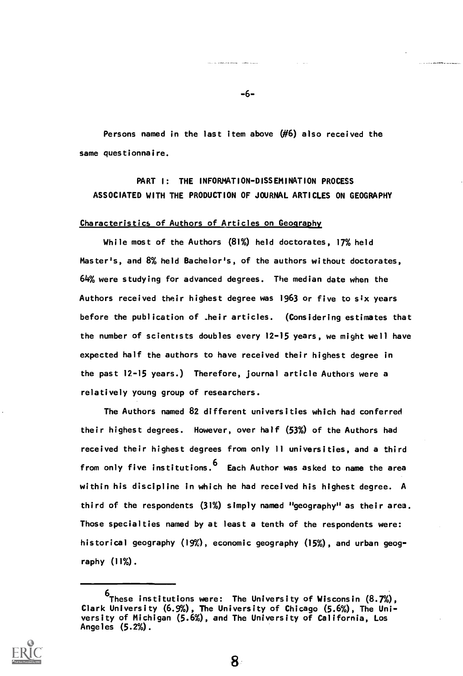Persons named in the last item above  $(H6)$  also received the same questionnaire.

# PART I: THE INFORMATION-DISSEMINATION PROCESS ASSOCIATED WITH THE PRODUCTION OF JOURNAL ARTICLES ON GEOGRAPHY

### Characteristics of Authors of Articles on Geography

While most of the Authors (81%) held doctorates, 17% held Master's, and 8% held Bachelor's, of the authors without doctorates, 64% were studying for advanced degrees. The median date when the Authors received their highest degree was 1963 or five to six years before the publication of .heir articles. (Considering estimates that the number of scientists doubles every 12-15 years, we might well have expected half the authors to have received their highest degree in the past 12-15 years.) Therefore, journal article Authors were a relatively young group of researchers.

The Authors named 82 different universities which had conferred their highest degrees. However, over half (53%) of the Authors had received their highest degrees from only 11 universities, and a third from only five institutions. <sup>6</sup> Each Author was asked to name the area within his discipline in which he had received his highest degree. A third of the respondents (31%) simply named "geography" as their area. Those specialties named by at least a tenth of the respondents were: historical geography (19%), economic geography (15%), and urban geography (11%).



-6-

<sup>6</sup>These institutions were: The University of Wisconsin (8.7%), Clark University (6.9%), The University of Chicago (5.6%), The University of Michigan (5.6%), and The University of California, Los Angeles (5.2%).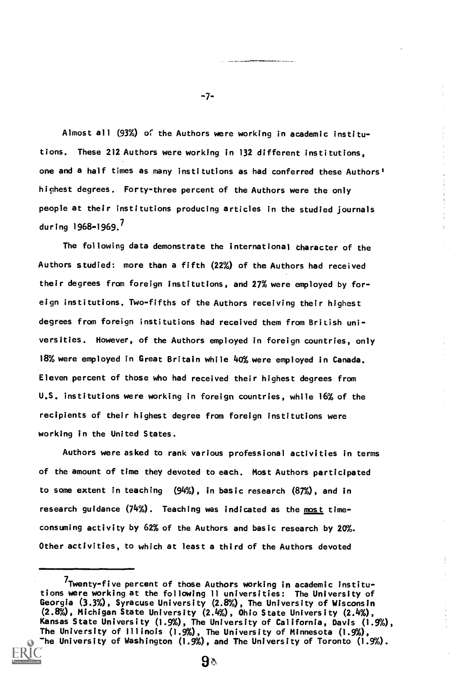Almost all (93%) of the Authors were working in academic institutions. These 212 Authors were working in 132 different institutions, one and a half times as many institutions as had conferred these Authors' highest degrees. Forty-three percent of the Authors were the only people at their institutions producing articles in the studied journals during 1968-1969. $^7$ 

The following data demonstrate the international character of the Authors studied: more than a fifth (22%) of the Authors had received their degrees from foreign institutions, and 27% were employed by foreign institutions. Two-fifths of the Authors receiving their highest degrees from foreign institutions had received them from British universities. However, of the Authors employed in foreign countries, only 18% were employed in Great Britain while 40% were employed in Canada. Eleven percent of those who had received their highest degrees from U.S. institutions were working in foreign countries, while 16% of the recipients of their highest degree from foreign institutions were working in the United States.

Authors were asked to rank various professional activities in terms of the amount of time they devoted to each. Most Authors participated to some extent in teaching (94X), in basic research (87%), and in research guidance  $(74%)$ . Teaching was indicated as the most timeconsuming activity by 62% of the Authors and basic research by 20%. Other activities, to which at least a third of the Authors devoted

 $9 \textcolor{black}{\land}$ 

-7-

<sup>7</sup>Twenty-five percent of those Authors working in academic institutions were working at the following 11 universities: The University of Georgia (3.3%), Syracuse University (2.8%), The University of Wisconsin (2.8%), Michigan State University (2.4%), Ohio State University (2.4%), Kansas State University (1.9%), The University of California, Davis (1.9%), The University of Illinois (1.9%), The University of Minnesota (1.9%), The University of Washington (1.9%), and The University of Toronto (1.9%).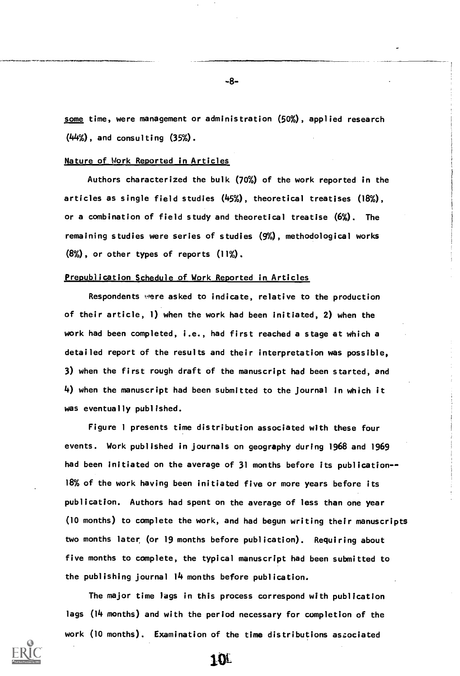some time, were management or administration (50%), applied research (44%) , and consulting (35%).

#### Nature of Work Reported in Articles

Authors characterized the bulk (70%) of the work reported in the articles as single field studies (45%), theoretical treatises (18%), or a combination of field study and theoretical treatise (6%). The remaining studies were series of studies (9%), methodological works (8%), or other types of reports (11%).

#### Prepublication Schedule of Work Reported in Articles

Respondents were asked to indicate, relative to the production of their article, 1) when the work had been initiated, 2) when the work had been completed, i.e., had first reached a stage at which a detailed report of the results and their interpretation was possible, 3) when the first rough draft of the manuscript had been started, and 4) when the manuscript had been submitted to the journal in which it was eventually published.

Figure <sup>1</sup> presents time distribution associated with these four events. Work published in journals on geography during 1968 and 1969 had been initiated on the average of 31 months before its publication--18% of the work having been initiated five or more years before its publication. Authors had spent on the average of less than one year (10 months) to complete the work, and had begun writing their manuscripts two months later (or 19 months before publication). Requiring about five months to complete, the typical manuscript had been submitted to the publishing journal 14 months before publication.

The major time lags in this process correspond with publication lags (14 months) and with the period necessary for completion of the work (10 months). Examination of the time distributions aszociated



-8-

101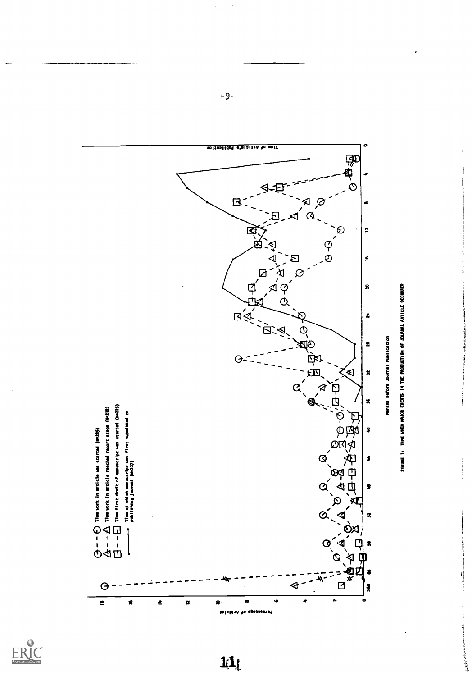

-6-

4 tf 4

 $\sum_{\mathbf{A}}\prod_{\mathbf{F}\in\mathbf{H}}\prod_{\mathbf{F}\in\mathbf{X}}\sum_{\mathbf{F}\in\mathbf{H}\cup\mathbf{H}}$ 

14

t EI ことに ついこう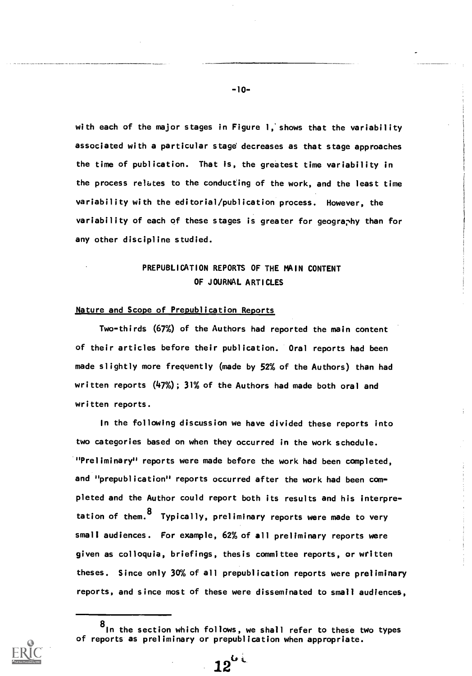with each of the major stages in Figure 1,'shows that the variability associated with a particular stage decreases as that stage approaches the time of publication. That is, the greatest time variability in the process refutes to the conducting of the work, and the least time variability with the editorial/publication process. However, the variability of each of these stages is greater for geography than for any other discipline studied.

# PREPUBLICATION REPORTS OF THE MAIN CONTENT OF JOURNAL ARTICLES

### Nature and Scope of Prepublication Reports

Two-thirds (67%) of the Authors had reported the main content of their articles before their publication. Oral reports had been made slightly more frequently (made by 52% of the Authors) than had written reports (47%); 31% of the Authors had made both oral and written reports.

In the following discussion we have divided these reports into two categories based on when they occurred in the work schedule. "Preliminary" reports were made before the work had been completed, and "prepublication" reports occurred after the work had been completed and the Author could report both its results and his interpretation of them.<sup>8</sup> Typically, preliminary reports were made to very small audiences. For example, 62% of all preliminary reports were given as colloquia, briefings, thesis committee reports, or written theses. Since only 30% of all prepublication reports were preliminary reports, and since most of these were disseminated to small audiences,

 $12^{k\ell}$ 

-10-

<sup>8</sup> In the section which follows, we shall refer to these two types of reports as preliminary or prepublication when appropriate.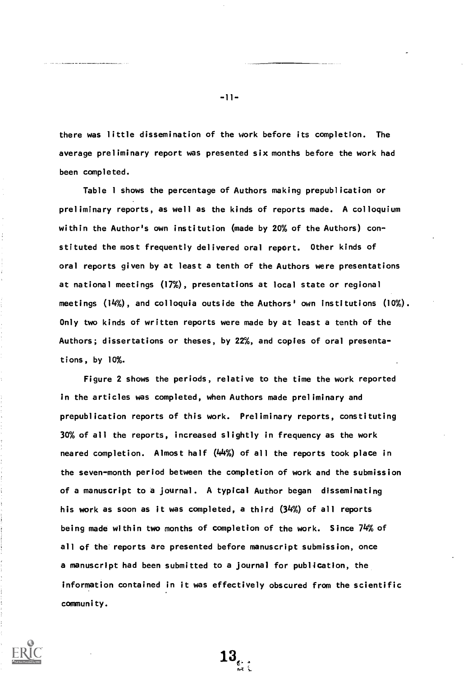there was little dissemination of the work before its completion. The average preliminary report was presented six months before the work had been completed.

Table <sup>1</sup> shows the percentage of Authors making prepublication or preliminary reports, as well as the kinds of reports made. A colloquium within the Author's own institution (made by 20% of the Authors) constituted the most frequently delivered oral report. Other kinds of oral reports given by at least a tenth of the Authors were presentations at national meetings (17%), presentations at local state or regional meetings (14%), and colloquia outside the Authors' own institutions (10%). Only two kinds of written reports were made by at least a tenth of the Authors; dissertations or theses, by 22%, and copies of oral presentations, by 10%.

Figure 2 shows the periods, relative to the time the work reported in the articles was completed, when Authors made preliminary and prepublication reports of this work. Preliminary reports, constituting 30% of all the reports, increased slightly in frequency as the work neared completion. Almost half (44%) of all the reports took place in the seven-month period between the completion of work and the submission of a manuscript to a journal. A typical Author began disseminating his work as soon as it was completed, a third (34%) of all reports being made within two months of completion of the work. Since 74% of all of the reports are presented before manuscript submission, once a manuscript had been submitted to a journal for publication, the information contained in it was effectively obscured from the scientific community.

 $13_{\epsilon}$ 

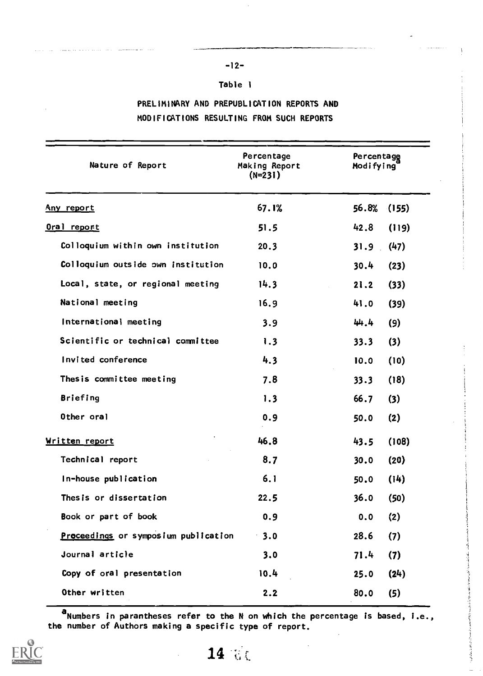# -12-

# Table 1

# PRELIMINARY AND PREPUBLICATION REPORTS AND MODIFICATIONS RESULTING FROM SUCH REPORTS

| Nature of Report                     | Percentage<br>Making Report<br>$(N=231)$ | Percentage<br>Modifying |  |  |
|--------------------------------------|------------------------------------------|-------------------------|--|--|
| <u>Any report</u>                    | 67.1%                                    | 56.8%<br>(155)          |  |  |
| Oral report                          | 51.5                                     | 42.8<br>(119)           |  |  |
| Colloquium within own institution    | 20.3                                     | (47)<br>31.9            |  |  |
| Colloquium outside own institution   | 10.0                                     | 30.4<br>(23)            |  |  |
| Local, state, or regional meeting    | 14.3                                     | 21.2<br>(33)            |  |  |
| National meeting                     | 16.9                                     | 41.0<br>(39)            |  |  |
| International meeting                | 3.9                                      | (9)<br>44.4             |  |  |
| Scientific or technical committee    | 1.3                                      | (3)<br>33.3             |  |  |
| Invited conference                   | 4.3                                      | (10)<br>10.0            |  |  |
| Thes is committee meeting            | 7.8                                      | (18)<br>33.3            |  |  |
| <b>Briefing</b>                      | 1.3                                      | 66.7<br>(3)             |  |  |
| Other oral                           | 0.9                                      | (2)<br>50.0             |  |  |
| Written report                       | 46.8                                     | (108)<br>43.5           |  |  |
| Technical report                     | 8.7                                      | 30.0<br>(20)            |  |  |
| In-house publication                 | 6.1                                      | (14)<br>50.0            |  |  |
| Thes is or dissertation              | 22.5                                     | 36.0<br>(50)            |  |  |
| Book or part of book                 | 0.9                                      | (2)<br>0.0              |  |  |
| Proceedings or symposium publication | 3.0                                      | 28.6<br>(7)             |  |  |
| Journal article                      | 3.0                                      | (7)<br>71.4             |  |  |
| Copy of oral presentation            | 10.4                                     | (24)<br>25.0            |  |  |
| Other written                        | 2.2                                      | 80.0<br>(5)             |  |  |

**a**Numbers in parantheses refer to the N on which the percentage is based, i.e.,  $\qquad \qquad \big\{$ the number of Authors making a specific type of report.

يتوفق



14 de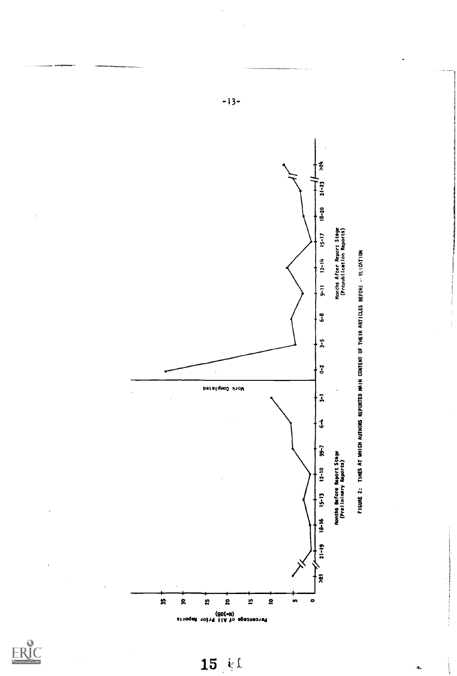

 $-13-$ 



医子宫

 $\mathbf{u}_0$ 

 $15 \pm 1$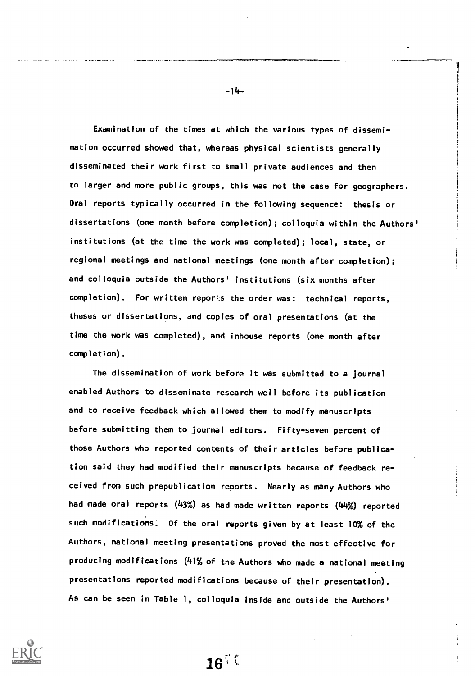Examination of the times at which the various types of dissemination occurred showed that, whereas physical scientists generally disseminated their work first to small private audiences and then to larger and more public groups, this was not the case for geographers. Oral reports typically occurred in the following sequence: thesis or dissertations (one month before completion); colloquia within the Authors' institutions (at the time the work was completed); local, state, or regional meetings and national meetings (one month after completion); and colloquia outside the Authors' institutions (six months after completion). For written reports the order was: technical reports, theses or dissertations, and copies of oral presentations (at the time the work was completed), and inhouse reports (one month after completion).

The dissemination of work before it was submitted to a journal enabled Authors to disseminate research well before its publication and to receive feedback which allowed them to modify manuscripts before submitting them to journal editors. Fifty-seven percent of those Authors who reported contents of their articles before publication said they had modified their manuscripts because of feedback received from such prepublication reports. Nearly as many Authors who had made oral reports (43%) as had made written reports (44%) reported such modifications. Of the oral reports given by at least 10% of the Authors, national meeting presentations proved the most effective for producing modifications (41% of the Authors who made a national meeting presentations reported modifications because of their presentation). As can be seen in Table 1, colloquia inside and outside the Authors'



-14-

 $16^\circ$  (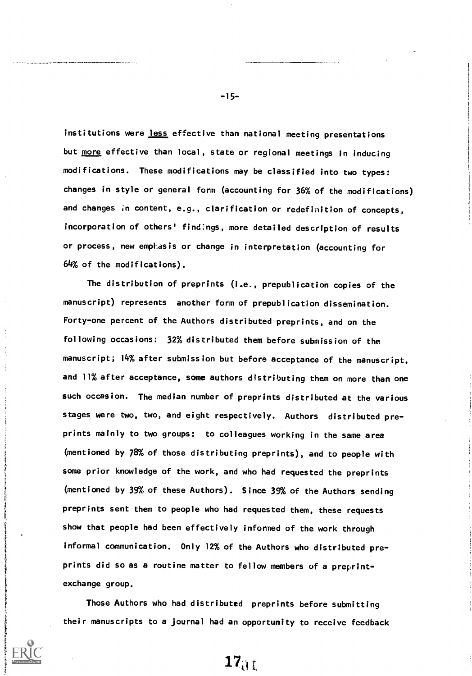institutions were less effective than national meeting presentations but more effective than local, state or regional meetings in inducing modifications. These modifications may be classified into two types: changes in style or general form (accounting for 36% of the modifications) and changes in content, e.g., clarification or redefinition of concepts, incorporation of others' findings, more detailed description of results or process, new emphasis or change in interpretation (accounting for 64% of the modifications).

The distribution of preprints (i.e., prepublication copies of the manuscript) represents another form of prepublication dissemination. Forty-one percent of the Authors distributed preprints, and on the following occasions: 32% distributed them before submission of the manuscript; 14% after submission but before acceptance of the manuscript, and 11% after acceptance, some authors distributing them on more than one such occasion. The median number of preprints distributed at the various stages were two, two, and eight respectively. Authors distributed preprints mainly to two groups: to colleagues working in the same area (mentioned by 78% of those distributing preprints), and to people with some prior knowledge of the work, and who had requested the preprints (mentioned by 39% of these Authors). Since 39% of the Authors sending preprints sent them to people who had requested them, these requests show that people had been effectively informed of the work through informal communication. Only 12% of the Authors who distributed preprints did so as a routine matter to fellow members of a preprintexchange group.

Those Authors who had distributed preprints before submitting their manuscripts to a journal had an opportunity to receive feedback

-15-

 $17<sub>01</sub>$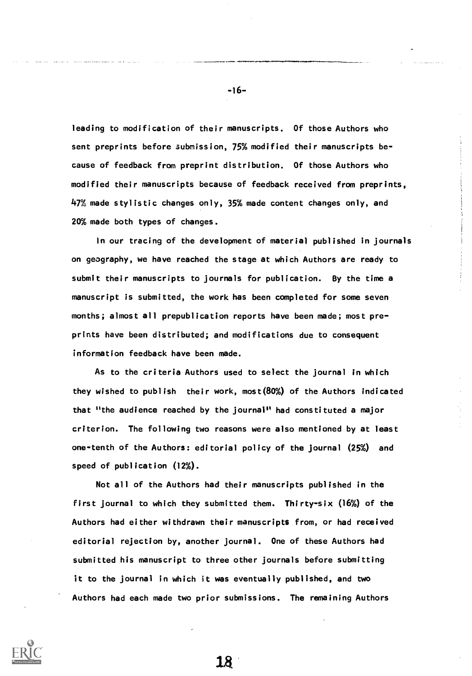leading to modification of their manuscripts. Of those Authors who sent preprints before submission, 75% modified their manuscripts because of feedback from preprint distribution. Of those Authors who modified their manuscripts because of feedback received from preprints, 47% made stylistic changes only, 35% made content changes only, and 20% made both types of changes.

In our tracing of the development of material published in journals on geography, we have reached the stage at which Authors are ready to submit their manuscripts to journals for publication. By the time a manuscript is submitted, the work has been completed for some seven months; almost all prepublication reports have been made; most preprints have been distributed; and modifications due to consequent information feedback have been made.

As to the criteria Authors used to select the journal in which they wished to publish their work, most(80%) of the Authors indicated that "the audience reached by the journal" had constituted a major criterion. The following two reasons were also mentioned by at least one-tenth of the Authors: editorial policy of the journal (25%) and speed of publication (12%).

Not all of the Authors had their manuscripts published in the first journal to which they submitted them. Thirty-six (16%) of the Authors had either withdrawn their manuscripts from, or had received editorial rejection by, another journal. One of these Authors had submitted his manuscript to three other journals before submitting it to the journal in which it was eventually published, and two Authors had each made two prior submissions. The remaining Authors



-16-

18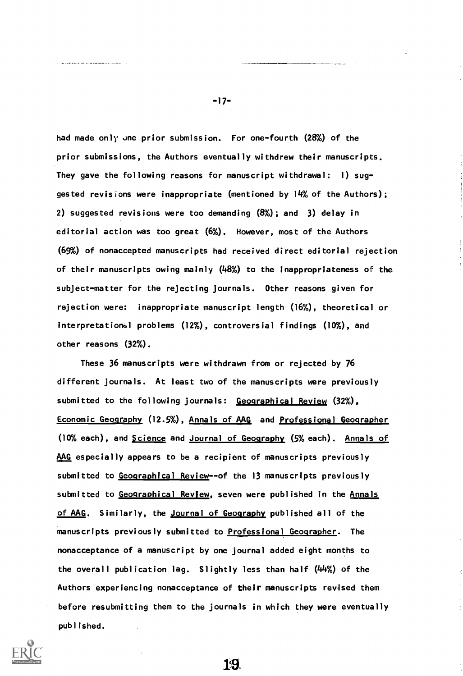had made only one prior submission. For one-fourth (28%) of the prior submissions, the Authors eventually withdrew their manuscripts. They gave the following reasons for manuscript withdrawal: 1) suggested revisions were inappropriate (mentioned by 14% of the Authors); 2) suggested revisions were too demanding (8%); and 3) delay in editorial action was too great (6%). However, most of the Authors (69%) of nonaccepted manuscripts had received direct editorial rejection of their manuscripts owing mainly (48%) to the inappropriateness of the subject-matter for the rejecting journals. Other reasons given for rejection were: inappropriate manuscript length (16%), theoretical or interpretational problems (12%), controversial findings (10%), and other reasons (32%).

These 36 manuscripts were withdrawn from or rejected by 76 different journals. At least two of the manuscripts were previously submitted to the following journals: Geographical Review (32%), Economic Geography (12.5%), Annals of AAG and Professional Geographer (10% each), and Science and Journal of Geography (5% each). Annals of AAG especially appears to be a recipient of manuscripts previously submitted to Geographical Review--of the 13 manuscripts previously submitted to Geographical Review, seven were published in the Annals of AAG. Similarly, the Journal of Geography published all of the manuscripts previously submitted to Professional Geographer. The nonacceptance of a manuscript by one journal added eight months to the overall publication lag. Slightly less than half (44%) of the Authors experiencing nonacceptance of their manuscripts revised them before resubmitting them to the journals in which they were eventually published.



-17-

19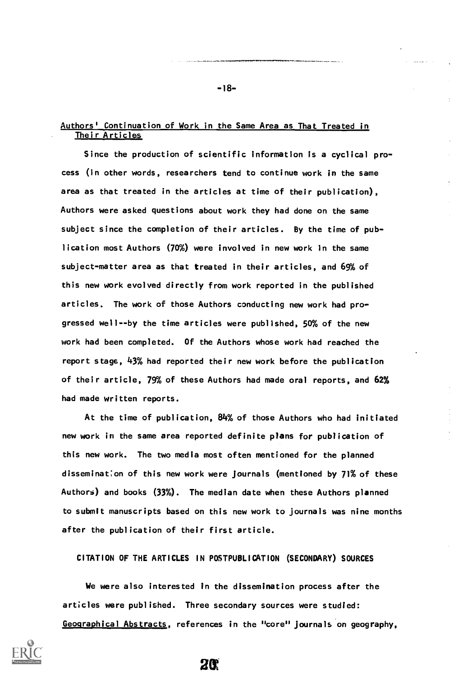### Authors' Continuation of Work in the Same Area as That Treated in Their Articles

Since the production of scientific information is a cyclical process (in other words, researchers tend to continue work in the same area as that treated in the articles at time of their publication), Authors were asked questions about work they had done on the same subject since the completion of their articles. By the time of publication most Authors (70%) were involved in new work in the same subject-matter area as that treated in their articles, and 69% of this new work evolved directly from work reported in the published articles. The work of those Authors conducting new work had progressed well--by the time articles were published, 50% of the new work had been completed. Of the Authors whose work had reached the report stage, 43% had reported their new work before the publication of their article, 79% of these Authors had made oral reports, and 62% had made written reports.

At the time of publication, 84% of those Authors who had initiated new work in the same area reported definite plans for publication of this new work. The two media most often mentioned for the planned dissemination of this new work were journals (mentioned by 71% of these Authors) and books (33%). The median date when these Authors planned to submit manuscripts based on this new work to journals was nine months after the publication of their first article.

CITATION OF THE ARTICLES IN POSTPUBLICATION (SECONDARY) SOURCES

We were also interested in the dissemination process after the articles were published. Three secondary sources were studied: Geographical Abstracts, references in the "core" journals on geography,

**2C** 



-18-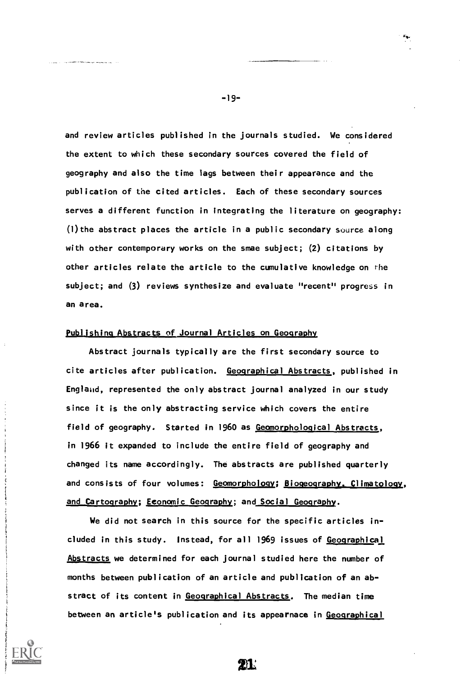and review articles published in the journals studied. We considered the extent to which these secondary sources covered the field of geography and also the time lags between their appearance and the publication of the cited articles. Each of these secondary sources serves a different function in integrating the literature on geography:  $(1)$  the abstract places the article in a public secondary source along with other contemporary works on the smae subject; (2) citations by other articles relate the article to the cumulative knowledge on the subject; and (3) reviews synthesize and evaluate "recent" progress in an area.

### Publishing Abstracts of Journal Articles on Geography

Abstract journals typically are the first secondary source to cite articles after publication. Geographical Abstracts, published in England, represented the only abstract journal analyzed in our study since it is the only abstracting service which covers the entire field of geography. Started in 1960 as Geomorphological Abstracts, in 1966 it expanded to include the entire field of geography and changed its name accordingly. The abstracts are published quarterly and consists of four volumes: Geomorphology; Biogeography. Climatology, and Cartography; Economic Geography; and Social Geography.

We did not search in this source for the specific articles included in this study. Instead, for all 1969 issues of Geographical Abstracts we determined for each journal studied here the number of months between publication of an article and publication of an abstract of its content in Geographical Abstracts. The median time between an article's publication and its appearnace in Geographical

21.

-19-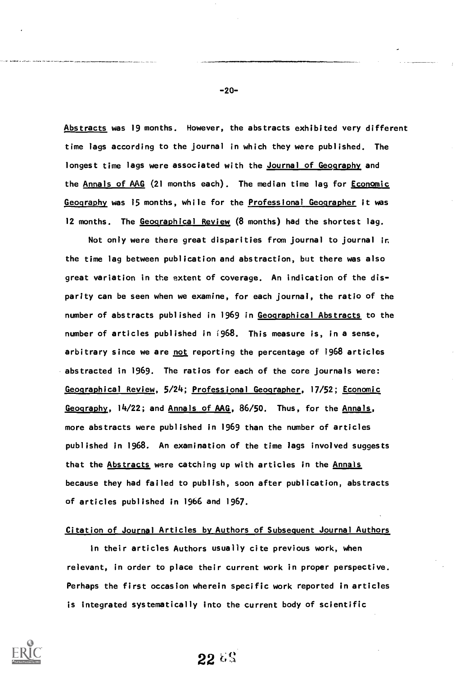Abstracts was 19 months. However, the abstracts exhibited very different time lags according to the journal in which they were published. The longest time lags were associated with the Journal of Geography and the Annals of AAG (21 months each). The median time lag for Economic Geography was 15 months, while for the Professional Geographer it was 12 months. The Geographical Review (8 months) had the shortest lag.

Not only were there great disparities from journal to journal in the time lag between publication and abstraction, but there was also great variation in the extent of coverage. An indication of the disparity can be seen when we examine, for each journal, the ratio of the number of abstracts published in 1969 in Geographical Abstracts to the number of articles published in ;968. This measure is, in a sense, arbitrary since we are not reporting the percentage of 1968 articles abstracted in 1969. The ratios for each of the core journals were: Geographical Review, 5/24; Professional Geographer, 17/52; Economic Geography, 14/22; and Annals of AAG, 86/50. Thus, for the Annals, more abstracts were published in 1969 than the number of articles published in 1968. An examination of the time lags involved suggests that the Abstracts were catching up with articles in the Annals because they had failed to publish, soon after publication, abstracts of articles published in 1966 and 1967.

### Citation of Journal Articles by Authors of Subsequent Journal Authors

in their articles Authors usually cite previous work, when relevant, in order to place their current work in proper perspective. Perhaps the first occasion wherein specific work reported in articles is integrated systematically into the current body of scientific



-20-

 $226%$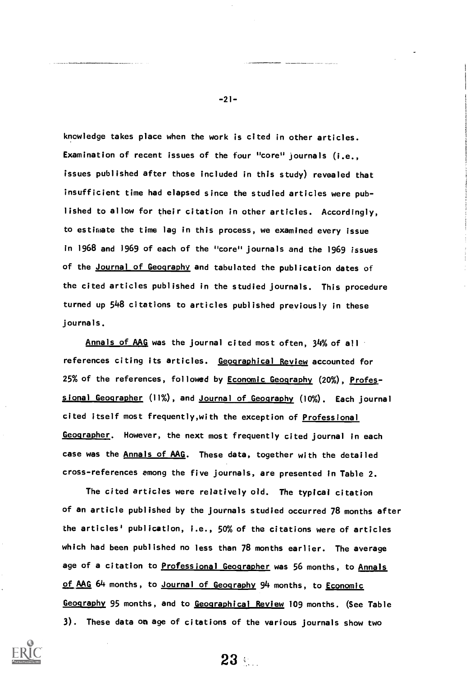knowledge takes place when the work is cited in other articles. Examination of recent issues of the four "core" journals (i.e., issues published after those included in this study) revealed that insufficient time had elapsed since the studied articles were published to allow for their citation in other articles. Accordingly, to estimate the time lag in this process, we examined every issue in 1968 and 1969 of each of the "core" journals and the 1969 issues of the Journal of Geography and tabulated the publication dates of the cited articles published in the studied journals. This procedure turned up 548 citations to articles published previously in these journals.

Annals of AAG was the journal cited most often, 34% of all references citing its articles. Geographical Review accounted for 25% of the references, followed by **Economic Geography** (20%), Professional Geographer (11%), and Journal of Geography (10%). Each journal cited itself most frequently, with the exception of Professional Geographer. However, the next most frequently cited journal in each case was the Annals of AAG. These data, together with the detailed cross-references among the five journals, are presented in Table 2.

The cited articles were relatively old. The typical citation of an article published by the journals studied occurred 78 months after the articles' publication, i.e., 50% of the citations were of articles which had been published no less than 78 months earlier. The average age of a citation to **Professional Geographer** was 56 months, to Annals of AAG 64 months, to Journal of Geography 94 months, to Economic Geography 95 months, and to Geographical Review 109 months. (See Table 3). These data on age of citations of the various journals show two



-21-

 $23$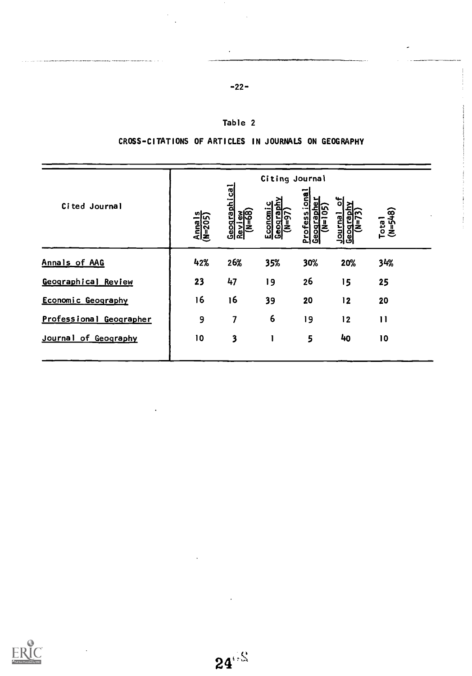| $-22-$ |  |
|--------|--|
|        |  |

# Table 2

CROSS-CITATIONS OF ARTICLES IN JOURNALS ON GEOGRAPHY

|                         | Citing Journal    |                                                    |                                                         |                                                               |                                  |                    |
|-------------------------|-------------------|----------------------------------------------------|---------------------------------------------------------|---------------------------------------------------------------|----------------------------------|--------------------|
| Cited Journal           | Anna I<br>(N=205) | <u>ვ</u><br>Geograph<br>$\frac{1}{(N-68)}$<br>Revi | <u>kip</u><br>ပျ<br><u>Economi</u><br>Geograpi<br>ັດ=ລິ | jona<br>ω<br><b>Profess</b><br>$\bullet$<br>Ο<br>ಟ್<br>ၿ<br>ت | 뉭<br>Journal<br>יִ<br>≧<br>Geogr | $(M=5+8)$<br>Total |
| Annals of AAG           | 42%               | 26%                                                | 35%                                                     | 30%                                                           | 20%                              | 34%                |
| Geographical Review     | 23                | 47                                                 | 19                                                      | 26                                                            | 15                               | 25                 |
| Economic Geography      | 16                | 16                                                 | 39                                                      | 20                                                            | 12                               | 20                 |
| Professional Geographer | 9                 | 7                                                  | 6                                                       | 19                                                            | 12                               | $\mathbf{1}$       |
| Journal of Geography    | 10                | $\overline{\mathbf{3}}$                            |                                                         | 5                                                             | 40                               | 10                 |

 $\mathcal{L}(\mathcal{L}_1)$  and the continuous constant constant continuous constants of the continuous continuous continuous continuous continuous continuous continuous continuous continuous continuous continuous continuous continu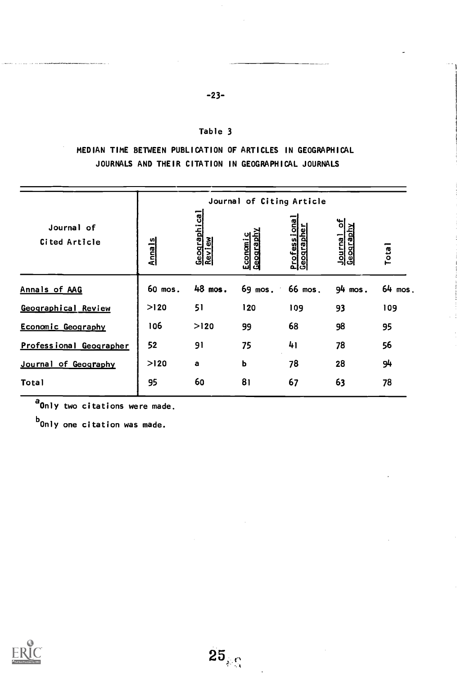### Table 3

-23-

MEDIAN TIME BETWEEN PUBLICATION OF ARTICLES IN GEOGRAPHICAL JOURNALS AND THEIR CITATION IN GEOGRAPHICAL JOURNALS

|                             | Journal of Citing Article |                           |                             |                            |                   |                   |
|-----------------------------|---------------------------|---------------------------|-----------------------------|----------------------------|-------------------|-------------------|
| Journal of<br>Cited Article | <b>Anna1s</b>             | 『<br>Geographic<br>Review | <u>Ceography</u><br>Economi | Professional<br>Geographer | 비<br>Journal of   | Tota <sup>1</sup> |
| Annals of AAG               | 60 mos.                   | 48 mos.                   | 69 mos.                     | 66 mos.                    | $94 \text{ mos}.$ | $64$ mos.         |
| Geographical Review         | >120                      | 51                        | 120                         | 109                        | 93                | 109               |
| Economic Geography          | 106                       | >120                      | 99                          | 68                         | 98                | 95                |
| Professional Geographer     | 52                        | 91                        | 75                          | 41                         | 78                | 56                |
| Journal of Geography        | >120                      | a                         | ь                           | 78                         | 28                | 94                |
| <b>Total</b>                | 95                        | 60                        | 81                          | 67                         | 63                | 78                |

a<sub>Only</sub> two citations were made.

 $^{\text{b}}$ Only one citation was made.



 $\bar{\beta}$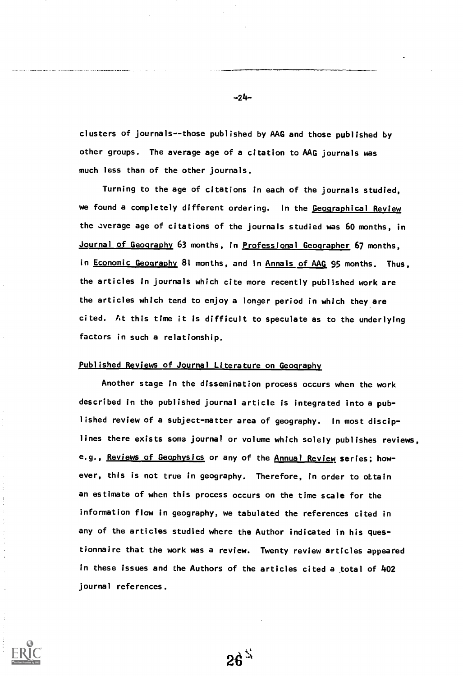clusters of journals--those published by AAG and those published by other groups. The average age of a citation to AAG journals was much less than of the other journals.

Turning to the age of citations in each of the journals studied, we found a completely different ordering. In the Geographical Review the average age of citations of the journals studied was 60 months, in Journal of Geography 63 months, in Professional Geographer 67 months, in Economic Geography 81 months, and in Annals of AAG 95 months. Thus, the articles in journals which cite more recently published work are the articles which tend to enjoy a longer period in which they are cited. At this time it is difficult to speculate as to the underlying factors in such a relationship.

### Published Reviews of Journal Literature on Geography

Another stage in the dissemination process occurs when the work described in the published journal article is integrated into a published review of a subject-matter area of geography. In most disciplines there exists some journal or volume which solely publishes reviews, e.g., Reviews of Geophysics or any of the Annual Review series; however, this is not true in geography. Therefore, in order to ottain an estimate of when this process occurs on the time scale for the information flow in geography, we tabulated the references cited in any of the articles studied where the Author indicated in his questionnaire that the work was a review. Twenty review articles appeared in these issues and the Authors of the articles cited a total of 402 journal references.

 $26<sup>3</sup>$ 

 $-24-$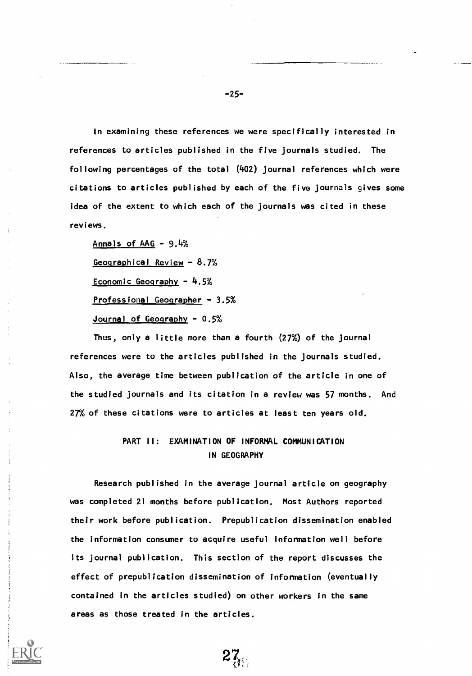In examining these references we were specifically interested in references to articles published in the five journals studied. The following percentages of the total (402) journal references which were citations to articles published by each of the five journals gives some idea of the extent to which each of the journals was cited in these reviews.

Annals of  $AAG - 9.4%$ Geographical Review - 8.7% Economic Geography - 4.5% Professional Geographer - 3.5% Journal of Geography - 0.5%

Thus, only a little more than a fourth (27%) of the journal references were to the articles published in the journals studied. Also, the average time between publication of the article in one of the studied journals and its citation in a review was 57 months. And 27% of these citations were to articles at least ten years old.

# PART II: EXAMINATION OF INFORMAL COMMUNICATION IN GEOGRAPHY

Research published in the average journal article on geography was completed 21 months before publication. Most Authors reported their work before publication. Prepublication dissemination enabled the information consumer to acquire useful information well before its journal publication. This section of the report discusses the effect of prepublication dissemination of information (eventually contained in the articles studied) on other workers in the same areas as those treated in the articles.

 $27_{\rm g}$ 

-25-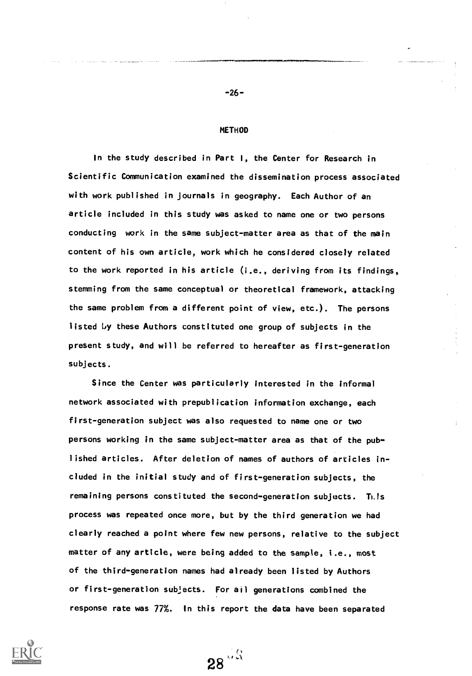#### **METHOD**

In the study described in Part I, the Center for Research in Scientific Communication examined the dissemination process associated with work published in journals in geography. Each Author of an article included in this study was asked to name one or two persons conducting work in the same subject-matter area as that of the main content of his own article, work which he considered closely related to the work reported in his article (i.e., deriving from its findings, stemming from the same conceptual or theoretical framework, attacking the same problem from a different point of view, etc.). The persons listed 1y these Authors constituted one group of subjects in the present study, and will be referred to hereafter as first-generation subjects.

Since the Center was particularly interested in the informal network associated with prepublication information exchange, each first-generation subject was also requested to name one or two persons working in the same subject-matter area as that of the published articles. After deletion of names of authors of articles included in the initial study and of first-generation subjects, the remaining persons constituted the second-generation subjects. This process was repeated once more, but by the third generation we had clearly reached a point where few new persons, relative to the subject matter of any article, were being added to the sample, i.e., most of the third-generation names had already been listed by Authors or first-generation subjects. For all generations combined the response rate was 77%. In this report the data have been separated

 $28\frac{18}{12}$ 



-26-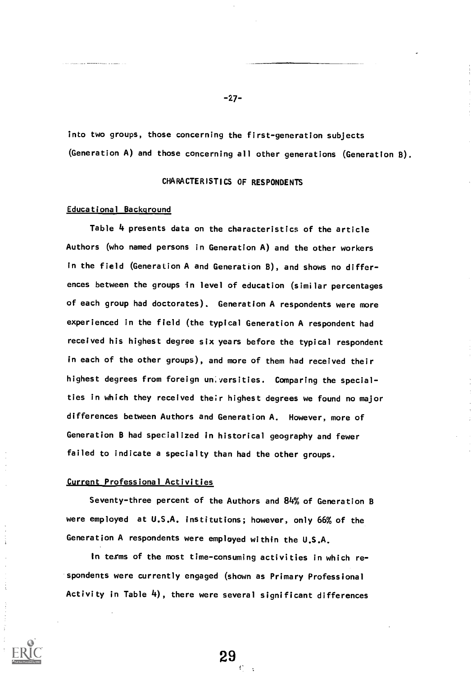into two groups, those concerning the first-generation subjects (Generation A) and those concerning all other generations (Generation B).

### CHARACTERISTICS OF RESPONDENTS

#### Educational Background

Table 4 presents data on the characteristics of the article Authors (who named persons in Generation A) and the other workers in the field (Generation A and Generation B), and shows no differences between the groups in level of education (similar percentages of each group had doctorates). Generation A respondents were more experienced in the field (the typical Generation A respondent had received his highest degree six years before the typical respondent in each of the other groups), and more of them had received their highest degrees from foreign un. versities. Comparing the specialties in which they received their highest degrees we found no major differences between Authors and Generation A. However, more of Generation B had specialized in historical geography and fewer failed to indicate a specialty than had the other groups.

#### Current Professional Activities

Seventy-three percent of the Authors and 84% of Generation B were employed at U.S.A. institutions; however, only 66% of the Generation A respondents were employed within the U.S.A.

In terms of the most time-consuming activities in which respondents were currently engaged (shown as Primary Professional Activity in Table 4), there were several significant differences

29

-27-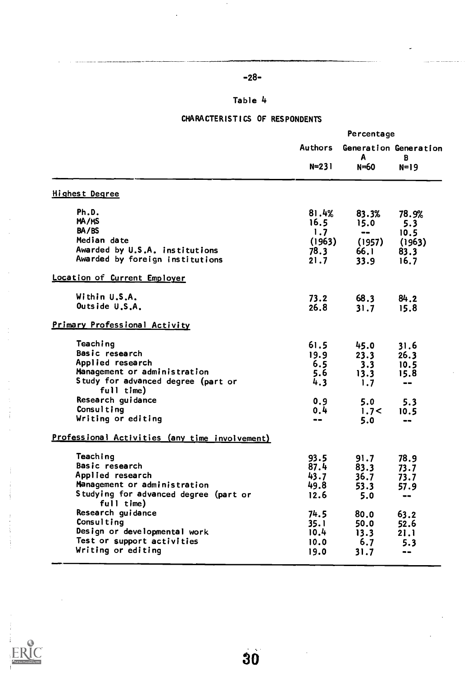# -28-

# Table 4

# CHARACTERISTICS OF RESPONDENTS

|                                                     |                      | Percentage |                                      |  |
|-----------------------------------------------------|----------------------|------------|--------------------------------------|--|
|                                                     | Authors<br>$N = 231$ | A<br>N=60  | Generation Generation<br>B<br>$N=19$ |  |
| <b>Highest Degree</b>                               |                      |            |                                      |  |
| Ph.D.                                               | 81.4%                | 83.3%      | 78.9%                                |  |
| MA/MS                                               | 16.5                 | 15.0       | 5.3                                  |  |
| BA/BS                                               | 1.7                  | $- -$      | 10.5                                 |  |
| Median date                                         | (1963)               | (1957)     | (1963)                               |  |
| Awarded by U.S.A. institutions                      | 78.3                 | 66.1       | 83.3                                 |  |
| Awarded by foreign institutions                     | 21.7                 | 33.9       | 16.7                                 |  |
| Location of Current Employer                        |                      |            |                                      |  |
| Within U.S.A.                                       | 73.2                 | 68.3       | 84.2                                 |  |
| Outside U.S.A.                                      | 26.8                 | 31.7       | 15.8                                 |  |
| Primary Professional Activity                       |                      |            |                                      |  |
| Teaching                                            | 61.5                 | 45.0       | 31.6                                 |  |
| Basic research                                      | 19.9                 | 23.3       | 26.3                                 |  |
| Applied research                                    | 6.5                  | 3.3        | 10.5                                 |  |
| Management or administration                        | 5.6                  | 13.3       | 15.8                                 |  |
| Study for advanced degree (part or                  | 4.3                  | 1.7        | $- -$                                |  |
| full time)                                          |                      |            |                                      |  |
| Research guidance                                   | 0.9                  | 5.0        | 5.3                                  |  |
| Consulting                                          | 0,4                  | 1.7<       | 10.5                                 |  |
| Writing or editing                                  | $- -$                | 5.0        | $\blacksquare$                       |  |
| Professional Activities (any time involvement)      |                      |            |                                      |  |
| Teaching                                            | 93.5                 | 91.7       | 78.9                                 |  |
| Basic research                                      | 87.4                 | 83.3       | 73.7                                 |  |
| Applied research                                    | 43.7                 | 36.7       | 73.7                                 |  |
| Management or administration                        | 49.8                 | 53.3       | 57.9                                 |  |
| Studying for advanced degree (part or<br>full time) | 12.6                 | 5.0        | $\blacksquare$                       |  |
| Research guidance                                   | 74.5                 | 80.0       | 63.2                                 |  |
| Consulting                                          | 35.1                 | 50.0       | 52.6                                 |  |
| Design or developmental work                        | 10.4                 | 13.3       | 21.1                                 |  |
| Test or support activities                          | 10.0                 | 6.7        | 5.3                                  |  |
| Writing or editing                                  | 19.0                 | 31.7       | --                                   |  |
|                                                     |                      |            |                                      |  |

 $\frac{1}{\ell}$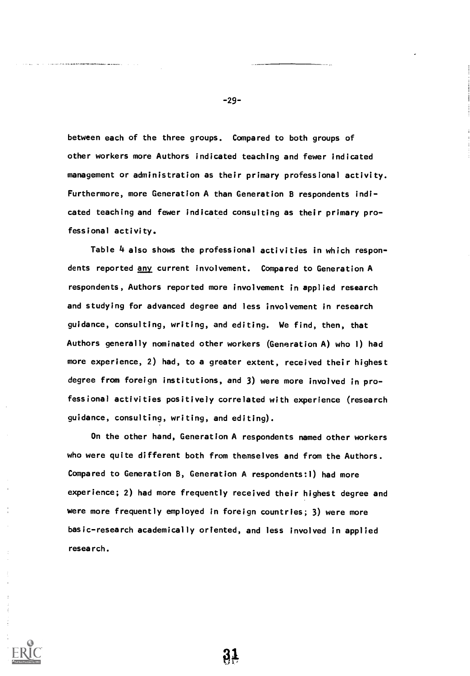between each of the three groups. Compared to both groups of other workers more Authors indicated teaching and fewer indicated management or administration as their primary professional activity. Furthermore, more Generation A than Generation B respondents indicated teaching and fewer indicated consulting as their primary professional activity.

Table 4 also shows the professional activities in which respondents reported any current involvement. Compared to Generation A respondents, Authors reported more involvement in applied research and studying for advanced degree and less involvement in research guidance, consulting, writing, and editing. We find, then, that Authors generally nominated other workers (Generation A) who 1) had more experience, 2) had, to a greater extent, received their highest degree from foreign institutions, and 3) were more involved in professional activities positively correlated with experience (research guidance, consulting, writing, and editing).

On the other hand, Generation A respondents named other workers who were quite different both from themselves and from the Authors. Compared to Generation B, Generation A respondents:1) had more experience; 2) had more frequently received their highest degree and were more frequently employed in foreign countries; 3) were more basic-research academically oriented, and less involved in applied research.

-29-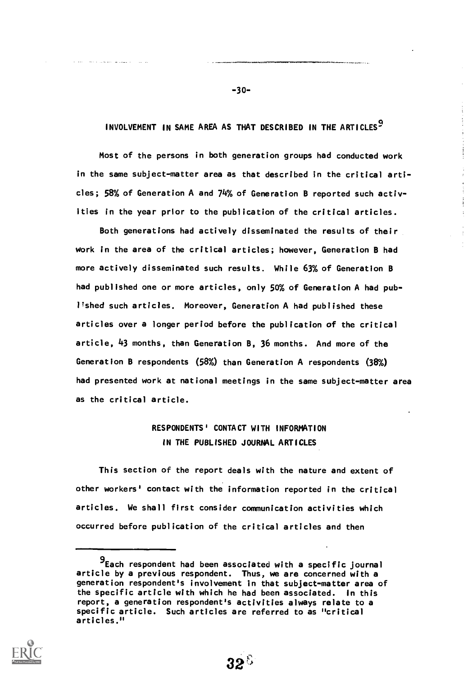## INVOLVEMENT IN SAME AREA AS THAT DESCRIBED IN THE ARTICLES'

-30-

and a constant program of

Most of the persons in both generation groups had conducted work in the same subject-matter area as that described in the critical articles; 58% of Generation A and 74% of Generation B reported such activities in the year prior to the publication of the critical articles.

Both generations had actively disseminated the results of their work in the area of the critical articles; however, Generation B had more actively disseminated such results. While 63% of Generation B had published one or more articles, only 50% of Generation A had publ'shed such articles. Moreover, Generation A had published these articles over a longer period before the publication of the critical article, 43 months, than Generation B, 36 months. And more of the Generation B respondents (58%) than Generation A respondents (38%) had presented work at national meetings in the same subject-matter area as the critical article.

# RESPONDENTS' CONTACT WITH INFORMATION IN THE PUBLISHED JOURNAL ARTICLES

This section of the report deals with the nature and extent of other workers' contact with the information reported in the critical articles. We shall first consider communication activities which occurred before publication of the critical articles and then

<sup>9</sup>Each respondent had been associated with a specific journal article by a previous respondent. Thus, we are concerned with a generation respondent's involvement in that subject-matter area of the specific article with which he had been associated. In this report, a generation respondent's activities always relate to a specific article. Such articles are referred to as "critical articles."

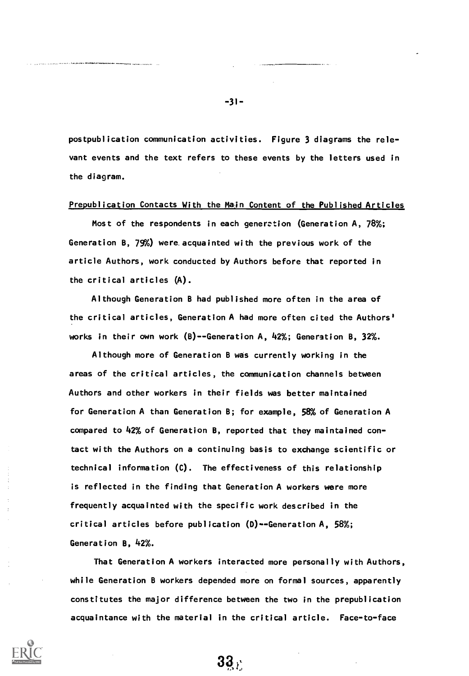postpublication communication activities. Figure 3 diagrams the relevant events and the text refers to these events by the letters used in the diagram.

### Prepublication Contacts With the Main Content of the Published Articles

Most of the respondents in each generation (Generation A, 78%; Generation B, 79%) were acquainted with the previous work of the article Authors, work conducted by Authors before that reported in the critical articles (A).

Although Generation B had published more often in the area of the critical articles, Generation A had more often cited the Authors' works in their own work  $(B)$ --Generation A, 42%; Generation B, 32%.

Although more of Generation B was currently working in the areas of the critical articles, the communication channels between Authors and other workers in their fields was better maintained for Generation A than Generation B; for example, 58% of Generation A compared to 42% of Generation B, reported that they maintained contact with the Authors on a continuing basis to exchange scientific or technical information (C). The effectiveness of this relationship is reflected in the finding that Generation A workers were more frequently acquainted with the specific work described in the critical articles before publication (D)--Generation A, 58%; Generation B, 42%.

That Generation A workers interacted more personally with Authors, while Generation B workers depended more on formal sources, apparently constitutes the major difference between the two in the prepublication acquaintance with the material in the critical article. Face-to-face

33,



-31-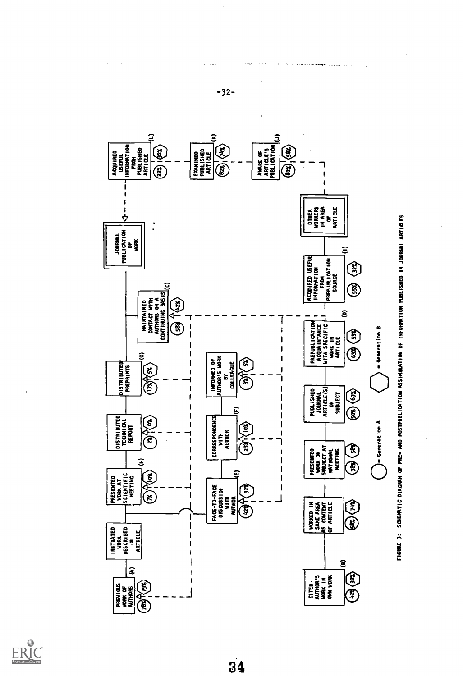

 $-32-$ 



 $34$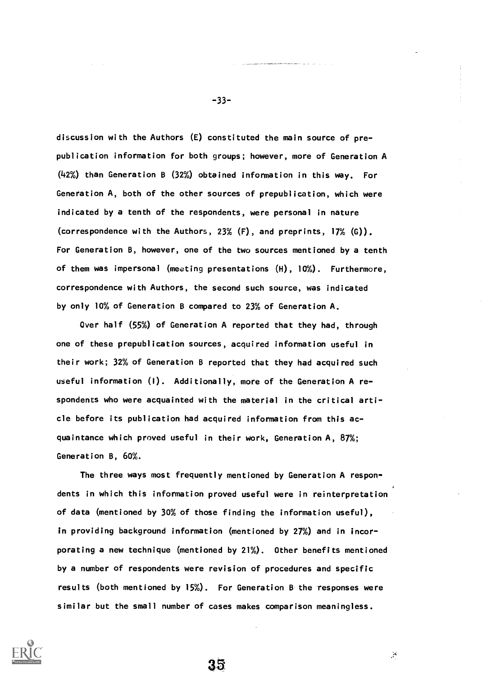discussion with the Authors (E) constituted the main source of prepublication information for both groups; however, more of Generation A (42%) than Generation B (32%) obtained information in this way. For Generation A, both of the other sources of prepublication, which were indicated by a tenth of the respondents, were personal in nature (correspondence with the Authors, 23% (F), and preprints, 17% (G)). For Generation B, however, one of the two sources mentioned by a tenth of them was impersonal (meeting presentations (H), 10%). Furthermore, correspondence with Authors, the second such source, was indicated by only 10% of Generation B compared to 23% of Generation A.

Over half (55%) of Generation A reported that they had, through one of these prepublication sources, acquired information useful in their work; 32% of Generation B reported that they had acquired such useful information (I). Additionally, more of the Generation A respondents who were acquainted with the material in the critical article before its publication had acquired information from this acquaintance which proved useful in their work, Generation A, 87%; Generation B, 60%.

The three ways most frequently mentioned by Generation A respondents in which this information proved useful were in reinterpretation of data (mentioned by 30% of those finding the information useful), in providing background information (mentioned by 27%) and in incorporating a new technique (mentioned by 21%). Other benefits mentioned by a number of respondents were revision of procedures and specific results (both mentioned by 15%). For Generation B the responses were similar but the small number of cases makes comparison meaningless.

35



-33-

 $\mathcal{A}$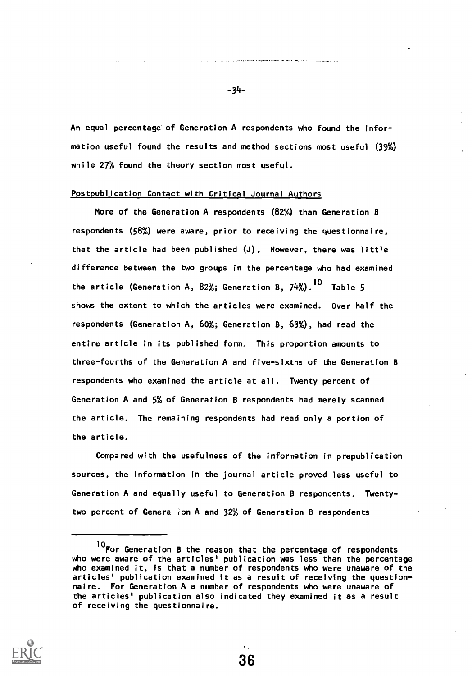An equal percentage of Generation A respondents who found the information useful found the results and method sections most useful (39%) while 27% found the theory section most useful.

#### Postpublication Contact with Critical Journal Authors

More of the Generation A respondents (82%) than Generation B respondents (58%) were aware, prior to receiving the questionnaire, that the article had been published  $(J)$ . However, there was little difference between the two groups in the percentage who had examined the article (Generation A, 82%; Generation B, 74%).<sup>IO</sup> Table 5 shows the extent to which the articles were examined. Over half the respondents (Generation A, 60%; Generation B, 63%), had read the entire article in its published form. This proportion amounts to three-fourths of the Generation A and five-sixths of the Generation B respondents who examined the article at all. Twenty percent of Generation A and 5% of Generation B respondents had merely scanned the article. The remaining respondents had read only a portion of the article.

Compared with the usefulness of the information in prepublication sources, the information in the journal article proved less useful to Generation A and equally useful to Generation B respondents. Twentytwo percent of Genera ion A and  $32\%$  of Generation B respondents

36



-34-

<sup>10</sup> For Generation B the reason that the percentage of respondents who were aware of the articles' publication was less than the percentage who examined it, is that a number of respondents who were unaware of the articles' publication examined it as a result of receiving the questionnaire. For Generation A a number of respondents who were unaware of the articles' publication also indicated they examined it as a result of receiving the questionnaire.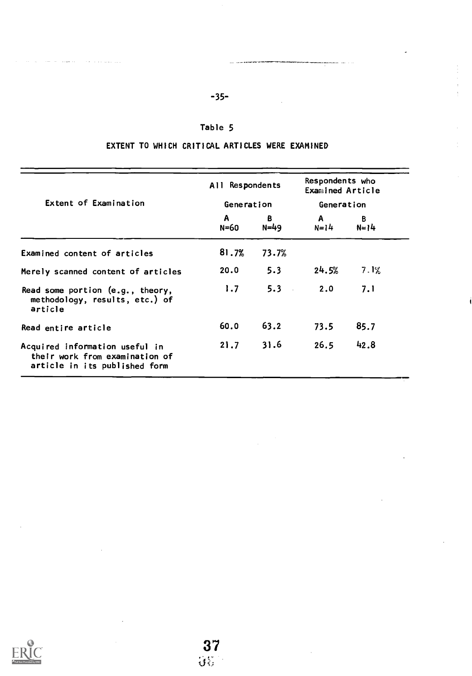# -35-

ry

. .....

# Table 5

# EXTENT TO WHICH CRITICAL ARTICLES WERE EXAMINED

|                                                                                                   | All Respondents |                | Respondents who<br>Examined Article<br>Generation |               |  |
|---------------------------------------------------------------------------------------------------|-----------------|----------------|---------------------------------------------------|---------------|--|
| Extent of Examination                                                                             | Generation      |                |                                                   |               |  |
|                                                                                                   | A<br>N=60       | B.<br>$N = 49$ | A<br>$N = 14$                                     | B<br>$N = 14$ |  |
| Examined content of articles                                                                      | 81.7%           | 73.7%          |                                                   |               |  |
| Merely scanned content of articles                                                                | 20.0            | 5.3            | 24.5%                                             | 7.1%          |  |
| Read some portion (e.g., theory,<br>methodology, results, etc.) of<br>article                     | 1.7             | 5.3            | 2.0                                               | 7.1           |  |
| Read entire article                                                                               | 60.0            | 63.2           | 73.5                                              | 85.7          |  |
| Acquired information useful in<br>their work from examination of<br>article in its published form | 21.7            | 31.6           | 26.5                                              | 42.8          |  |



 $\alpha\in\mathbb{R}^n$  .

 $\omega_{\rm{eff}}=1.7$  and  $\omega_{\rm{eff}}$ 

the construction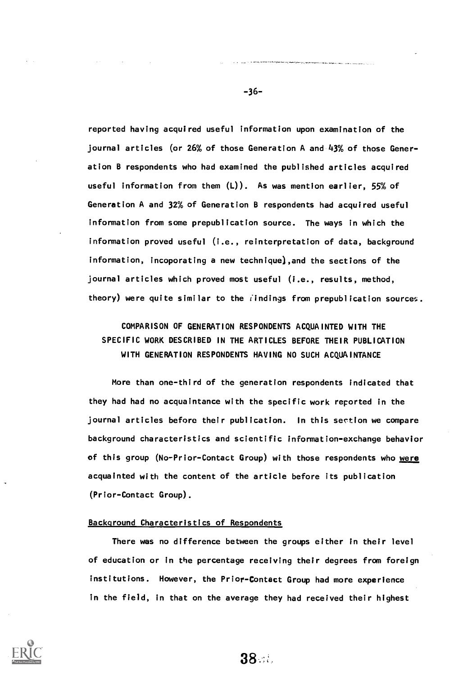reported having acquired useful information upon examination of the journal articles (or 26% of those Generation A and 43% of those Generation B respondents who had examined the published articles acquired useful information from them  $(L)$ ). As was mention earlier, 55% of Generation A and 32% of Generation B respondents had acquired useful information from some prepublication source. The ways in which the information proved useful (i.e., reinterpretation of data, background information, incoporating a new technique),and the sections of the journal articles which proved most useful (i.e., results, method, theory) were quite similar to the *i*indings from prepublication sources.

# COMPARISON OF GENERATION RESPONDENTS ACQUAINTED WITH THE SPECIFIC WORK DESCRIBED IN THE ARTICLES BEFORE THEIR PUBLICATION WITH GENERATION RESPONDENTS HAVING NO SUCH ACOUAINTANCE

More than one-third of the generation respondents indicated that they had had no acquaintance with the specific work reported in the journal articles before their publication. In this section we compare background characteristics and scientific information-exchange behavior of this group (No-Prior-Contact Group) with those respondents who were acquainted with the content of the article before its publication (Prior-Contact Group).

### Background Characteristics of Respondents

There was no difference between the groups either in their level of education or in the percentage receiving their degrees from foreign institutions. However, the Prior-Contact Group had more experience in the field, in that on the average they had received their highest



38. ::.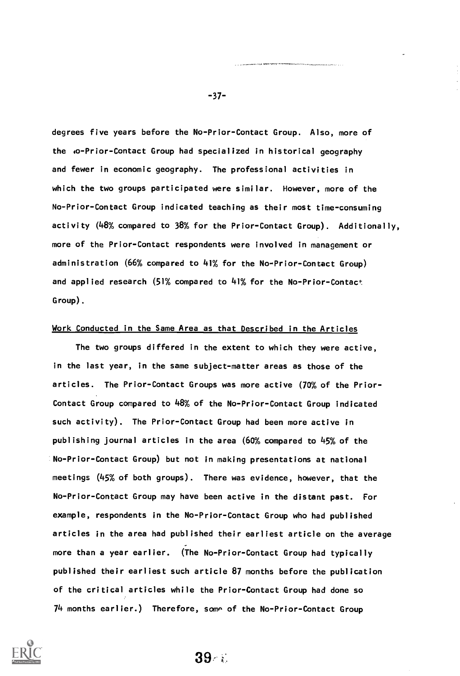degrees five years before the No-Prior-Contact Group. Also, more of the lo-Prior-Contact Group had specialized in historical geography and fewer in economic geography. The professional activities in which the two groups participated were similar. However, more of the No-Prior-Contact Group indicated teaching as their most time-consuming activity (48% compared to 38% for the Prior-Contact Group). Additionally, more of the Prior-Contact respondents were involved in management or administration (66% compared to 41% for the No-Prior-Contact Group) and applied research  $(51\%$  compared to  $41\%$  for the No-Prior-Contact Group).

### Work Conducted in the Same Area as that Described in the Articles

The two groups differed in the extent to which they were active, in the last year, in the same subject-matter areas as those of the articles. The Prior-Contact Groups was more active (70% of the Prior-Contact Group compared to 48% of the No-Prior-Contact Group indicated such activity). The Prior-Contact Group had been more active in publishing journal articles in the area (60% compared to 45% of the No-Prior-Contact Group) but not in making presentations at national meetings (45% of both groups). There was evidence, however, that the No-Prior-Contact Group may have been active in the distant past. For example, respondents in the No-Prior-Contact Group who had published articles in the area had published their earliest article on the average more than a year earlier. (The No-Prior-Contact Group had typically published their earliest such article 87 months before the publication of the critical articles while the Prior-Contact Group had done so  $74$  months earlier.) Therefore, some of the No-Prior-Contact Group



-37-

39.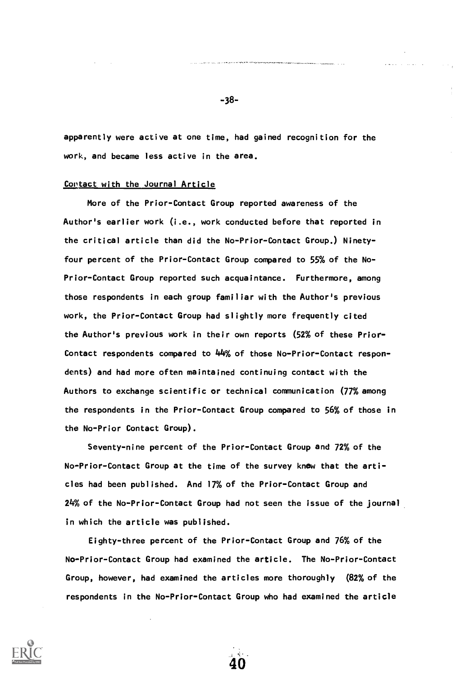apparently were active at one time, had gained recognition for the work, and became less active in the area.

#### Contact with the Journal Article

More of the Prior-Contact Group reported awareness of the Author's earlier work (i.e., work conducted before that reported in the critical article than did the No-Prior-Contact Group.) Ninetyfour percent of the Prior-Contact Group compared to 55% of the No-Prior-Contact Group reported such acquaintance. Furthermore, among those respondents in each group familiar with the Author's previous work, the Prior-Contact Group had slightly more frequently cited the Author's previous work in their own reports (52% of these Prior-Contact respondents compared to 44% of those No-Prior-Contact respondents) and had more often maintained continuing contact with the Authors to exchange scientific or technical communication (77% among the respondents in the Prior-Contact Group compared to 56% of those in the No-Prior Contact Group).

Seventy-nine percent of the Prior-Contact Group and 72% of the No-Prior-Contact Group at the time of the survey knew that the articles had been published. And 17% of the Prior-Contact Group and 24% of the No-Prior-Contact Group had not seen the issue of the journal in which the article was published.

Eighty-three percent of the Prior-Contact Group and 76% of the No-Prior-Contact Group had examined the article. The No-Prior-Contact Group, however, had examined the articles more thoroughly (82% of the respondents in the No-Prior-Contact Group who had examined the article

40



-38-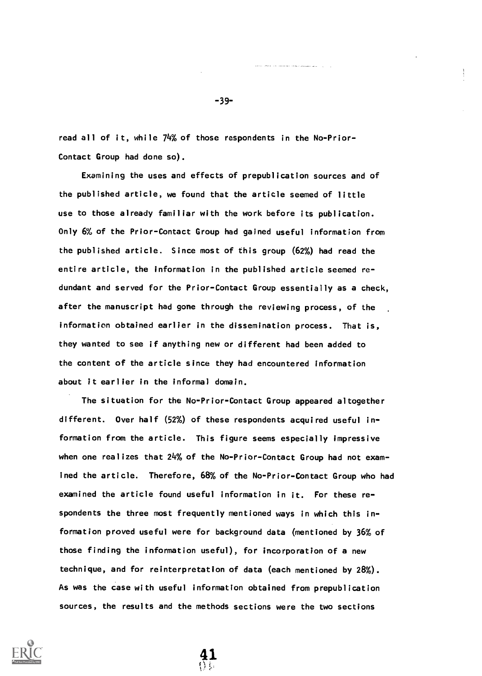read all of it, while 74% of those respondents in the No-Prior-Contact Group had done so).

Examining the uses and effects of prepublication sources and of the published article, we found that the article seemed of little use to those already familiar with the work before its publication. Only 6% of the Prior-Contact Group had gained useful information from the published article. Since most of this group (62%) had read the entire article, the information in the published article seemed redundant and served for the Prior-Contact Group essentially as a check, after the manuscript had gone through the reviewing process, of the information obtained earlier in the dissemination process. That is, they wanted to see if anything new or different had been added to the content of the article since they had encountered information about it earlier in the informal domain.

The situation for the No-Prior-Contact Group appeared altogether different. Over half (52%) of these respondents acquired useful information from the article. This figure seems especially impressive when one realizes that 24% of the No-Prior-Contact Group had not examined the article. Therefore, 68% of the No-Prior-Contact Group who had examined the article found useful information in it. For these respondents the three most frequently mentioned ways in which this information proved useful were for background data (mentioned by 36% of those finding the information useful), for incorporation of a new technique, and for reinterpretation of data (each mentioned by 28%). As was the case with useful information obtained from prepublication sources, the results and the methods sections were the two sections

41



-39-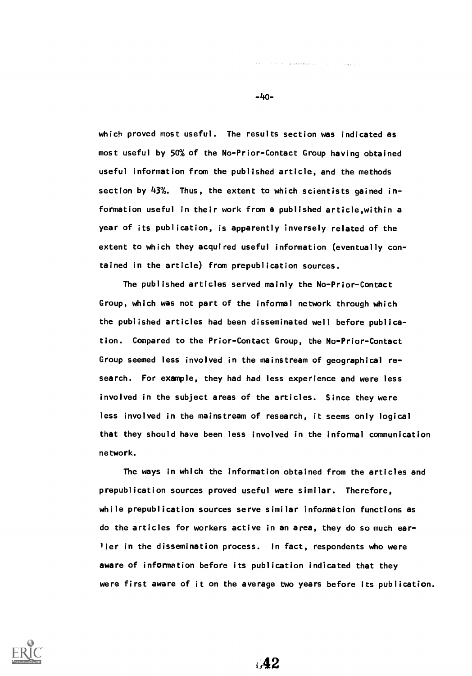which proved most useful. The results section was indicated as most useful by 50% of the No-Prior-Contact Group having obtained useful information from the published article, and the methods section by 43%. Thus, the extent to which scientists gained information useful in their work from a published article,within a year of its publication, is apparently inversely related of the extent to which they acquired useful information (eventually contained in the article) from prepublication sources.

The published articles served mainly the No-Prior-Contact Group, which was not part of the informal network through which the published articles had been disseminated well before publication. Compared to the Prior-Contact Group, the No-Prior-Contact Group seemed less involved in the mainstream of geographical research. For example, they had had less experience and were less involved in the subject areas of the articles. Since they were less involved in the mainstream of research, it seems only logical that they should have been less involved in the informal communication network.

The ways in which the information obtained from the articles and prepublication sources proved useful were similar. Therefore, while prepublication sources serve similar information functions as do the articles for workers active in an area, they do so much earlier in the dissemination process. In fact, respondents who were aware of information before its publication indicated that they were first aware of it on the average two years before its publication.



-4o-

The parameter and a string

**Sales State** 

042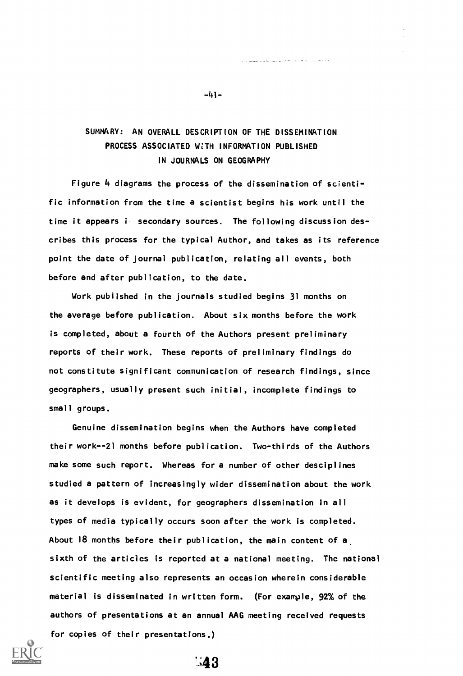# SUMMARY: AN OVERALL DESCRIPTION OF THE DISSEMINATION PROCESS ASSOCIATED WITH INFORMATION PUBLISHED IN JOURNALS ON GEOGRAPHY

Figure 4 diagrams the process of the dissemination of scientific information from the time a scientist begins his work until the time it appears i secondary sources. The following discussion describes this process for the typical Author, and takes as its reference point the date of journal publication, relating all events, both before and after publication, to the date.

Work published in the journals studied begins 31 months on the average before publication. About six months before the work is completed, about a fourth of the Authors present preliminary reports of their work. These reports of preliminary findings do not constitute significant communication of research findings, since geographers, usually present such initial, incomplete findings to small groups.

Genuine dissemination begins when the Authors have completed their work--21 months before publication. Two-thirds of the Authors make some such report. Whereas for a number of other desciplines studied a pattern of increasingly wider dissemination about the work as it develops is evident, for geographers dissemination in all types of media typically occurs soon after the work is completed. About 18 months before their publication, the main content of a, sixth of the articles is reported at a national meeting. The national scientific meeting also represents an occasion wherein considerable material is disseminated in written form. (For example, 92% of the authors of presentations at an annual AAG meeting received requests for copies of their presentations.)



 $-41-$ 

 $.43$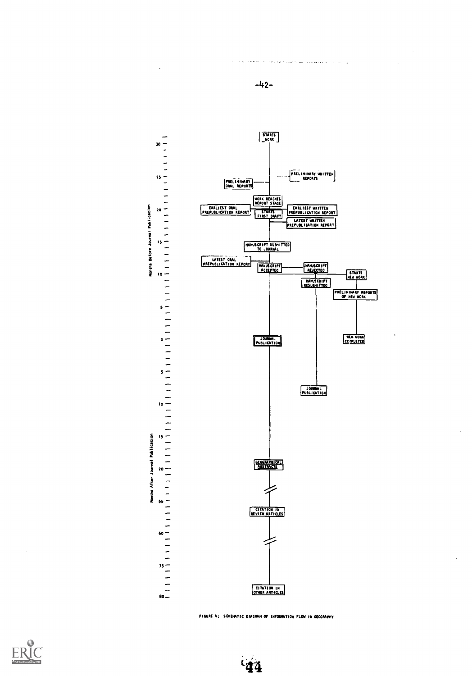

-42-

.<br>The first time accumulation and construction of the construction of the construction of the construction of the

and a successful

FIGURE 4: SCHENATIC DIAGRAM OF INFORMATION FLOW IN GEOGRAPHY



 $44$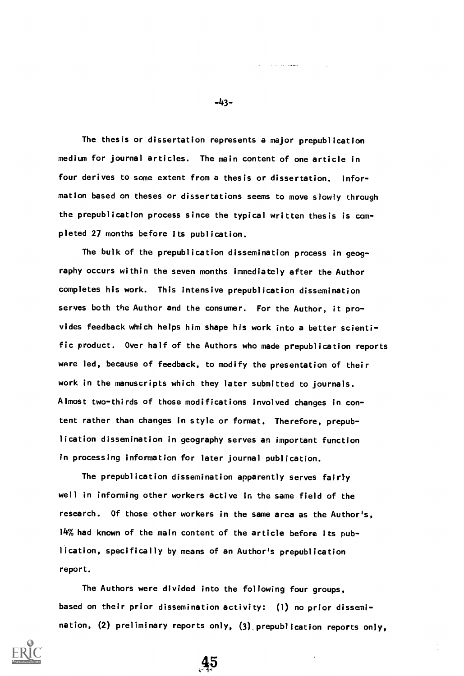The thesis or dissertation represents a major prepublication medium for journal articles. The main content of one article in four derives to some extent from a thesis or dissertation. Information based on theses or dissertations seems to move slowly through the prepublication process since the typical written thesis is completed 27 months before its publication.

The bulk of the prepublication dissemination process in geography occurs within the seven months immediately after the Author completes his work. This intensive prepublication dissemination serves both the Author and the consumer. For the Author, it provides feedback which helps him shape his work into a better scientific product. Over half of the Authors who made prepublication reports were led, because of feedback, to modify the presentation of their work in the manuscripts which they later submitted to journals. Almost two-thirds of those modifications involved changes in con tent rather than changes in style or format. Therefore, prepublication dissemination in geography serves an important function in processing information for later journal publication.

The prepublication dissemination apparently serves fairly well in informing other workers active in the same field of the research. Of those other workers in the same area as the Author's, 14% had known of the main content of the article before its publication, specifically by means of an Author's prepublication report.

The Authors were divided into the following four groups, based on their prior dissemination activity: (1) no prior dissemination, (2) preliminary reports only, (3).prepublication reports only,

 $45$ 



-43-

a servizione della sua contro-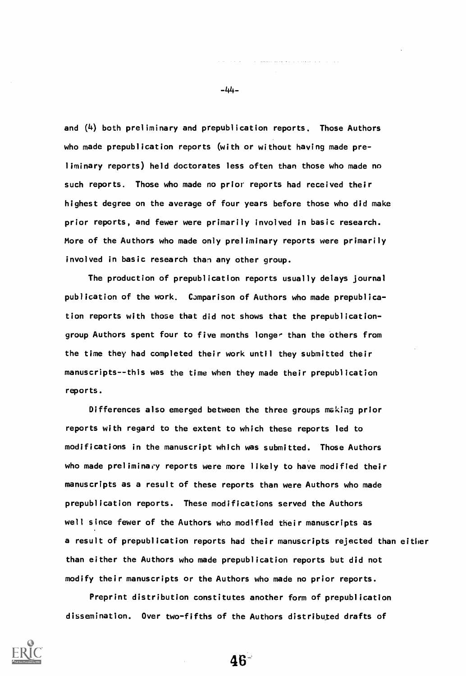and (4) both preliminary and prepublication reports. Those Authors who made prepublication reports (with or without having made preliminary reports) held doctorates less often than those who made no such reports. Those who made no prior reports had received their highest degree on the average of four years before those who did make prior reports, and fewer were primarily involved in basic research. More of the Authors who made only preliminary reports were primarily involved in basic research than any other group.

The production of prepublication reports usually delays journal publication of the work. Comparison of Authors who made prepublication reports with those that did not shows that the prepublicationgroup Authors spent four to five months longer than the others from the time they had completed their work until they submitted their manuscripts--this was the time when they made their prepublication reports.

Differences also emerged between the three groups making prior reports with regard to the extent to which these reports led to modifications in the manuscript which was submitted. Those Authors who made preliminary reports were more likely to have modified their manuscripts as a result of these reports than were Authors who made prepublication reports. These modifications served the Authors well since fewer of the Authors who modified their manuscripts as a result of prepublication reports had their manuscripts rejected than either than either the Authors who made prepublication reports but did not modify their manuscripts or the Authors who made no prior reports.

Preprint distribution constitutes another form of prepublication dissemination. Over two-fifths of the Authors distributed drafts of

46-



-44-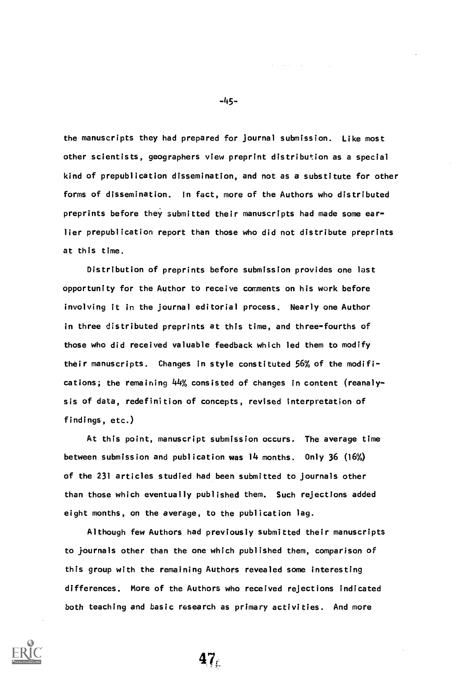the manuscripts they had prepared for journal submission. Like most other scientists, geographers view preprint distribution as a special kind of prepublication dissemination, and not as a substitute for other forms of dissemination. In fact, more of the Authors who distributed preprints before they submitted their manuscripts had made some earlier prepublication report than those who did not distribute preprints at this time.

Distribution of preprints before submission provides one last opportunity for the Author to receive comments on his work before involving it in the journal editorial process. Nearly one Author in three distributed preprints at this time, and three-fourths of those who did received valuable feedback which led them to modify their manuscripts. Changes in style constituted 56% of the modifications; the remaining 44% consisted of changes in content (reanalysis of data, redefinition of concepts, revised interpretation of findings, etc.)

At this point, manuscript submission occurs. The average time between submission and publication was 14 months. Only 36 (16%) of the 231 articles studied had been submitted to journals other than those which eventually published them. Such rejections added eight months, on the average, to the publication lag.

Although few Authors had previously submitted their manuscripts to journals other than the one which published them, comparison of this group with the remaining Authors revealed some interesting differences. More of the Authors who received rejections indicated both teaching and basic research as primary activities. And more

-45-

and the company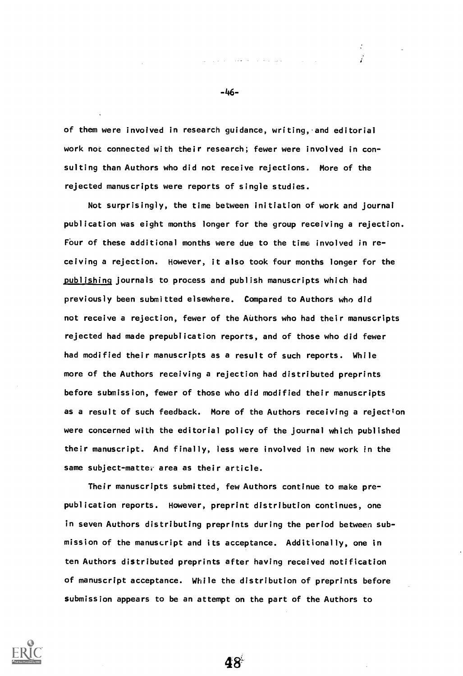of them were involved in research guidance, writing, and editorial work not connected with their research; fewer were involved in consulting than Authors who did not receive rejections. More of the rejected manuscripts were reports of single studies.

Not surprisingly, the time between initiation of work and journal publication was eight months longer for the group receiving a rejection. Four of these additional months were due to the time involved in receiving a rejection. However, it also took four months longer for the publishing journals to process and publish manuscripts which had previously been submitted elsewhere. Compared to Authors who did not receive a rejection, fewer of the Authors who had their manuscripts rejected had made prepublication reports, and of those who did fewer had modified their manuscripts as a result of such reports. While more of the Authors receiving a rejection had distributed preprints before submission, fewer of those who did modified their manuscripts as a result of such feedback. More of the Authors receiving a rejection were concerned with the editorial policy of the journal which published their manuscript. And finally, less were involved in new work in the same subject-matter area as their article.

Their manuscripts submitted, few Authors continue to make prepublication reports. However, preprint distribution continues, one in seven Authors distributing preprints during the period between submission of the manuscript and its acceptance. Additionally, one in ten Authors distributed preprints after having received notification of manuscript acceptance. While the distribution of preprints before submission appears to be an attempt on the part of the Authors to

48



-46-

÷ Ĩ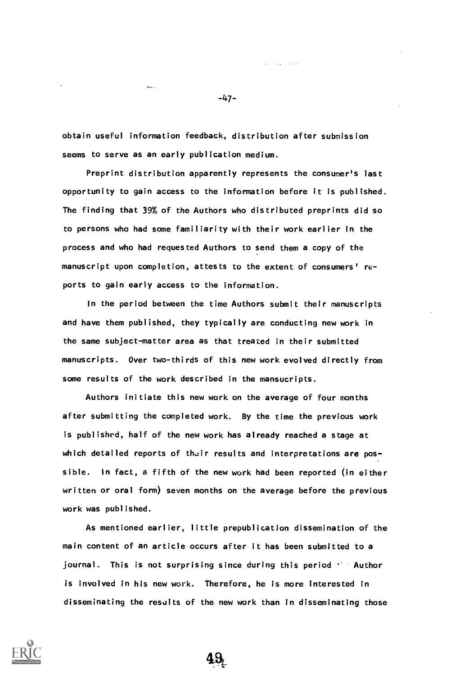obtain useful information feedback, distribution after submission seems to serve as an early publication medium.

 $\sim$  .

Preprint distribution apparently represents the consumer's last opportunity to gain access to the information before it is published. The finding that 39% of the Authors who distributed preprints did so to persons who had some familiarity with their work earlier in the process and who had requested Authors to send them a copy of the manuscript upon completion, attests to the extent of consumers' reports to gain early access to the information.

In the period between the time Authors submit their manuscripts and have them published, they typically are conducting new work in the same subject-matter area as that treated in their submitted manuscripts. Over two-thirds of this new work evolved directly from some results of the work described in the mansucripts.

Authors initiate this new work on the average of four months after submitting the completed work. By the time the previous work is published, half of the new work has already reached a stage at which detailed reports of their results and interpretations are possible. In fact, a fifth of the new work had been reported (in either written or oral form) seven months on the average before the previous work was published.

As mentioned earlier, little prepublication dissemination of the main content of an article occurs after it has been submitted to a journal. This is not surprising since during this period  $A$  Author is involved in his new work. Therefore, he is more interested in disseminating the results of the new work than in disseminating those



-47-

فعالم المتلاد التعا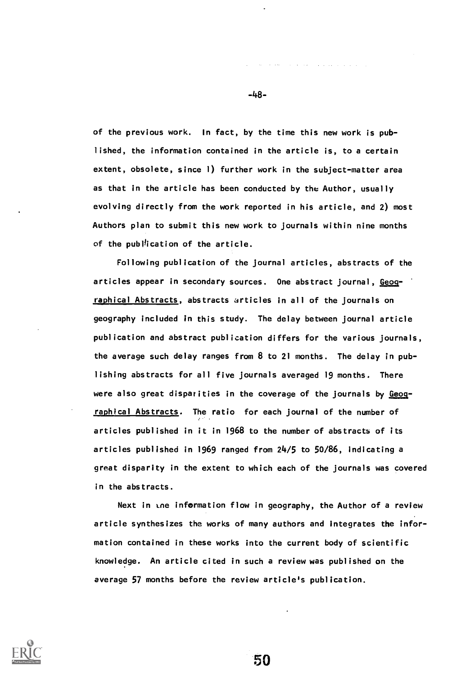of the previous work. In fact, by the time this new work is published, the information contained in the article is, to a certain extent, obsolete, since 1) further work in the subject-matter area as that in the article has been conducted by the Author, usually evolving directly from the work reported in his article, and 2) most Authors plan to submit this new work to journals within nine months of the publication of the article.

Following publication of the journal articles, abstracts of the articles appear in secondary sources. One abstract journal, Geographical Abstracts, abstracts articles in all of the journals on geography included in this study. The delay between journal article publication and abstract publication differs for the various journals, the average such delay ranges from 8 to 21 months. The delay in publishing abstracts for all five journals averaged 19 months. There were also great disparities in the coverage of the journals by Geographical Abstracts. The ratio for each journal of the number of articles published in it in 1968 to the number of abstracts of its articles published in 1969 ranged from 24/5 to 50/86, indicating a great disparity in the extent to which each of the journals was covered in the abstracts.

Next in the information flow in geography, the Author of a review article synthesizes the works of many authors and integrates the information contained in these works into the current body of scientific knowledge. An article cited in such a review was published on the average 57 months before the review article's publication.

50



-48-

service and the companies of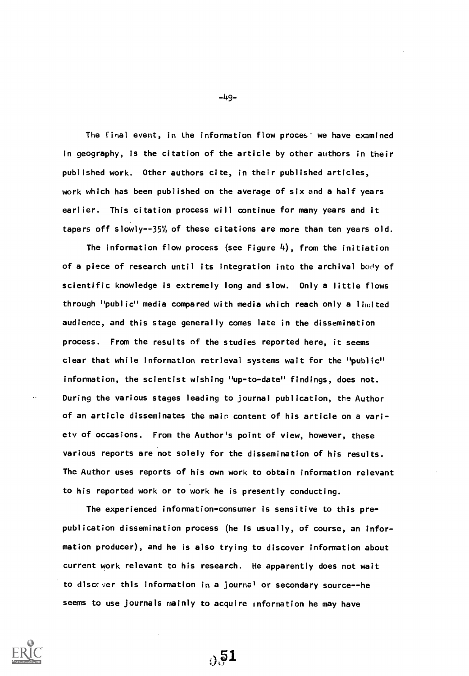The final event, in the information flow proces: we have examined in geography, is the citation of the article by other authors in their published work. Other authors cite, in their published articles, work which has been published on the average of six and a half years earlier. This citation process will continue for many years and it tapers off slowly-35% of these citations are more than ten years old.

The information flow process (see Figure  $4$ ), from the initiation of a piece of research until its integration into the archival body of scientific knowledge is extremely long and slow. Only a little flows through "public" media compared with media which reach only a limited audience, and this stage generally comes late in the dissemination process. From the results of the studies reported here, it seems clear that while information retrieval systems wait for the "public" information, the scientist wishing "up-to-date" findings, does not. During the various stages leading to journal publication, the Author of an article disseminates the main content of his article on a variety of occasions. From the Author's point of view, however, these various reports are not solely for the dissemination of his results. The Author uses reports of his own work to obtain information relevant to his reported work or to work he is presently conducting.

The experienced information-consumer is sensitive to this prepublication dissemination process (he is usually, of course, an information producer), and he is also trying to discover information about current work relevant to his research. He apparently does not wait to discover this information in a journal or secondary source--he seems to use journals mainly to acquire information he may have

 $\sqrt{51}$ 



-1+9-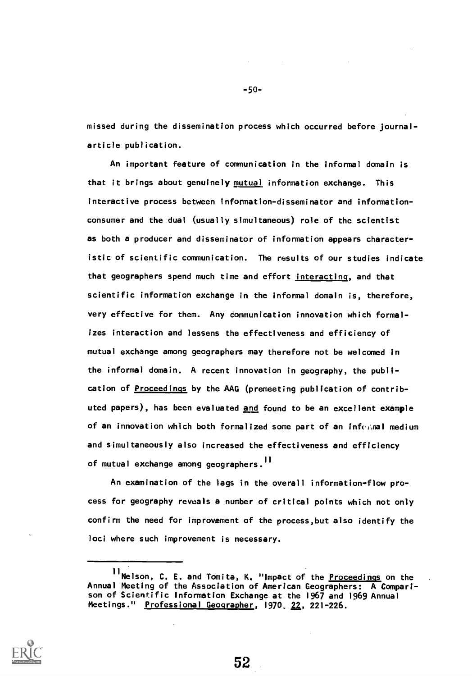missed during the dissemination process which occurred before journalarticle publication.

An important feature of communication in the informal domain is that it brings about genuinely mutual information exchange. This interactive process between information-disseminator and informationconsumer and the dual (usually simultaneous) role of the scientist as both a producer and disseminator of information appears characteristic of scientific communication. The results of our studies indicate that geographers spend much time and effort interacting, and that scientific information exchange in the informal domain is, therefore, very effective for them. Any communication innovation which formalizes interaction and lessens the effectiveness and efficiency of mutual exchange among geographers may therefore not be welcomed in the informal domain. A recent innovation in geography, the publication of Proceedings by the AAG (premeeting publication of contributed papers), has been evaluated and found to be an excellent example of an innovation which both formalized some part of an infc:aal medium and simultaneously also increased the effectiveness and efficiency of mutual exchange among geographers.<sup>11</sup>

An examination of the lags in the overall information-flow process for geography reveals a number of critical points which not only confirm the need for improvement of the process,but also identify the loci where such improvement is necessary.



-50-

<sup>11</sup> Nelson, C. E. and Tomita, K. "Impact of the Proceedings on the Annual Meeting of the Association of American Geographers: A Comparison of Scientific Information Exchange at the 1967 and 1969 Annual Meetings." Professional Geographer, 1970, 22, 221-226.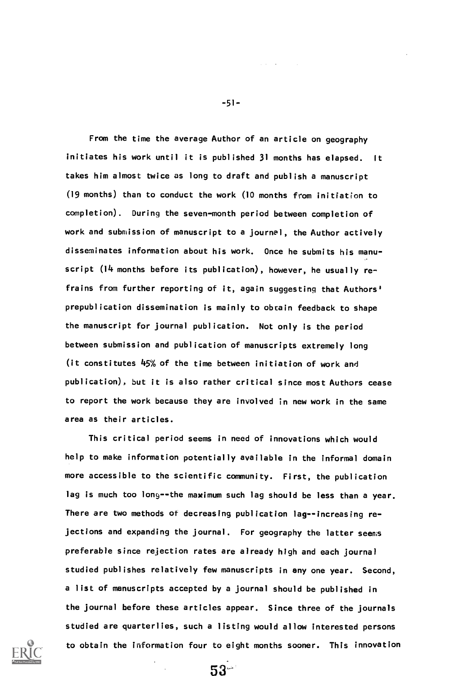From the time the average Author of an article on geography initiates his work until it is published 31 months has elapsed. It takes him almost twice as long to draft and publish a manuscript (19 months) than to conduct the work (10 months from initiation to completion). During the seven-month period between completion of work and submission of manuscript to a journal, the Author actively disseminates information about his work. Once he submits his manuscript (14 months before its publication), however, he usually refrains from further reporting of it, again suggesting that Authors' prepublication dissemination is mainly to obtain feedback to shape the manuscript for journal publication. Not only is the period between submission and publication of manuscripts extremely long (it constitutes 45% of the time between initiation of work and publication), but it is also rather critical since most Authors cease to report the work because they are involved in new work in the same area as their articles.

This critical period seems in need of innovations which would help to make information potentially available in the informal domain more accessible to the scientific community. First, the publication lag is much too long--the maximum such lag should be less than a year. There are two methods of decreasing publication lag--increasing rejections and expanding the journal. For geography the latter seems preferable since rejection rates are already high and each journal studied publishes relatively few manuscripts in any one year. Second, a list of manuscripts accepted by a journal should be published in the journal before these articles appear. Since three of the journals studied are quarterlies, such a listing would allow interested persons to obtain the information four to eight months sooner. This innovation

53



-51-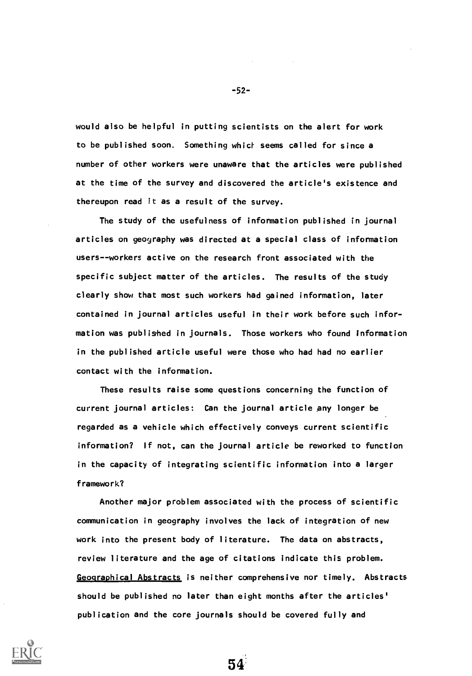would also be helpful in putting scientists on the alert for work to be published soon. Something whicf seems called for since a number of other workers were unaware that the articles were published at the time of the survey and discovered the article's existence and thereupon read it as a result of the survey.

The study of the usefulness of information published in journal articles on geography was directed at a special class of information users--workers active on the research front associated with the specific subject matter of the articles. The results of the study clearly show that most such workers had gained information, later contained in journal articles useful in their work before such information was published in journals. Those workers who found information in the published article useful were those who had had no earlier contact with the information.

These results raise some questions concerning the function of current journal articles: Can the journal article any longer be regarded as a vehicle which effectively conveys current scientific information? If not, can the journal article be reworked to function in the capacity of integrating scientific information into a larger framework?

Another major problem associated with the process of scientific communication in geography involves the lack of integration of new work into the present body of literature. The data on abstracts, review literature and the age of citations indicate this problem. Geographical Abstracts is neither comprehensive nor timely. Abstracts should be published no later than eight months after the articles' publication and the core journals should be covered fully and

54'

-52-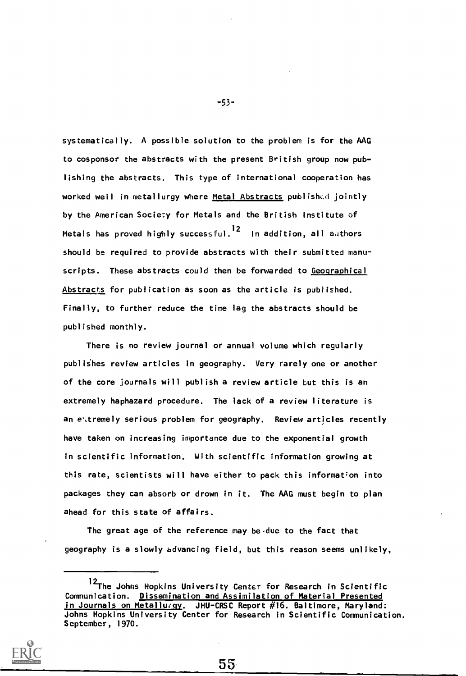systematically. A possible solution to the problem is for the AAG to cosponsor the abstracts with the present British group now publishing the abstracts. This type of international cooperation has worked well in metallurgy where Metal Abstracts published jointly by the American Society for Metals and the British Institute of Metals has proved highly successful.<sup>12</sup> In addition, all authors should be required to provide abstracts with their submitted manuscripts. These abstracts could then be forwarded to Geographical Abstracts for publication as soon as the article is published. Finally, to further reduce the time lag the abstracts should be published monthly.

There is no review journal or annual volume which regularly publishes review articles in geography. Very rarely one or another of the core journals will publish a review article but this is an extremely haphazard procedure. The lack of a review literature is an e\tremely serious problem for geography. Review articles recently have taken on increasing importance due to the exponential growth in scientific information. With scientific information growing at this rate, scientists will have either to pack this information into packages they can absorb or drown in it. The AAG must begin to plan ahead for this state of affairs.

The great age of the reference may be due to the fact that geography is a slowly advancing field, but this reason seems unlikely,

-53-

<sup>&</sup>lt;sup>12</sup>The Johns Hopkins University Center for Research in Scientific Communication. Dissemination and Assimilation of Material Presented in Journals on Metallurgy. JHU-CRSC Report #16. Baltimore, Maryland: Johns Hopkins University Center for Research in Scientific Communication. September, 1970.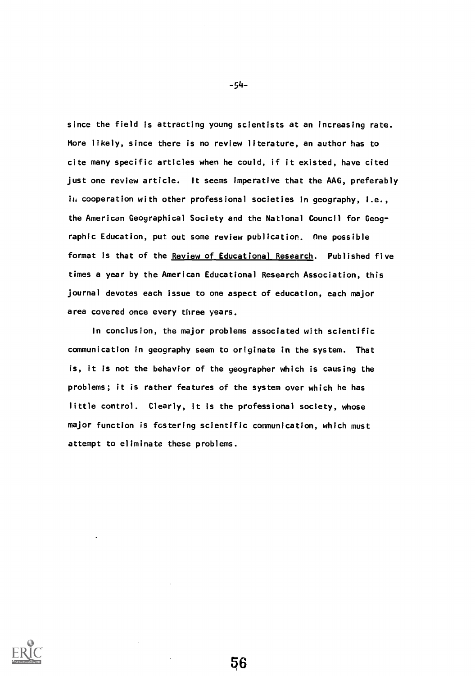since the field is attracting young scientists at an increasing rate. More likely, since there is no review literature, an author has to cite many specific articles when he could, if it existed, have cited just one review article. It seems imperative that the AAG, preferably in cooperation with other professional societies in geography, i.e., the American Geographical Society and the National Council for Geographic Education, put out some review publication. One possible format is that of the Review of Educational Research. Published five times a year by the American Educational Research Association, this journal devotes each issue to one aspect of education, each major area covered once every three years.

In conclusion, the major problems associated with scientific communication in geography seem to originate in the system. That is, it is not the behavior of the geographer which is causing the problems; it is rather features of the system over which he has little control. Clearly, it is the professional society, whose major function is fostering scientific communication, which must attempt to eliminate these problems.



-54-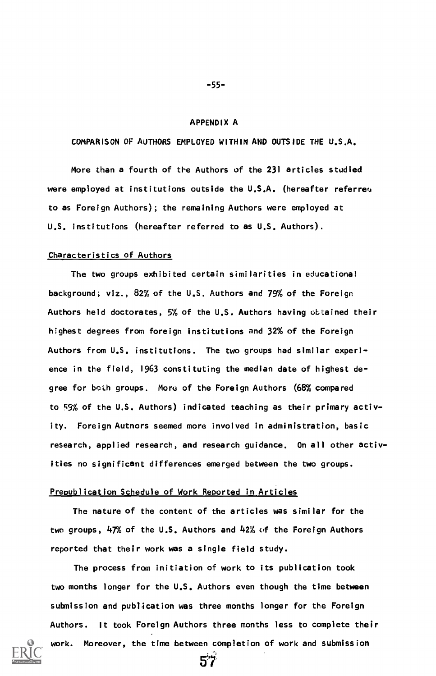#### APPENDIX A

COMPARISON OF AUTHORS EMPLOYED WITHIN AND OUTSIDE THE U.S.A.

More than a fourth of the Authors of the 231 articles studied were employed at institutions outside the U.S.A. (hereafter referreu to as Foreign Authors); the remaining Authors were employed at U.S. institutions (hereafter referred to as U.S. Authors).

#### Characteristics of Authors

The two groups exhibited certain similarities in educational background; viz., 82% of the U.S. Authors and 79% of the Foreign Authors held doctorates, 5% of the U.S. Authors having obtained their highest degrees from foreign institutions and 32% of the Foreign Authors from U.S. institutions. The two groups had similar experience in the field, 1963 constituting the median date of highest degree for both groups. More of the Foreign Authors (68% compared to 59% of the U.S. Authors) indicated teaching as their primary activity. Foreign Autnors seemed more involved in administration, basic research, applied research, and research guidance. On all other activities no significant differences emerged between the two groups.

### Prepublication Schedule of Work Reported in Articles

The nature of the content of the articles was similar for the two groups, 47% of the U.S. Authors and 42% of the Foreign Authors reported that their work was a single field study.

The process from initiation of work to its publication took two months longer for the U.S. Authors even though the time between submission and publication was three months longer for the Foreign Authors. It took Foreign Authors three months less to complete their work. Moreover, the time between completion of work and submission

 $57^{\circ}$ 



#### -55-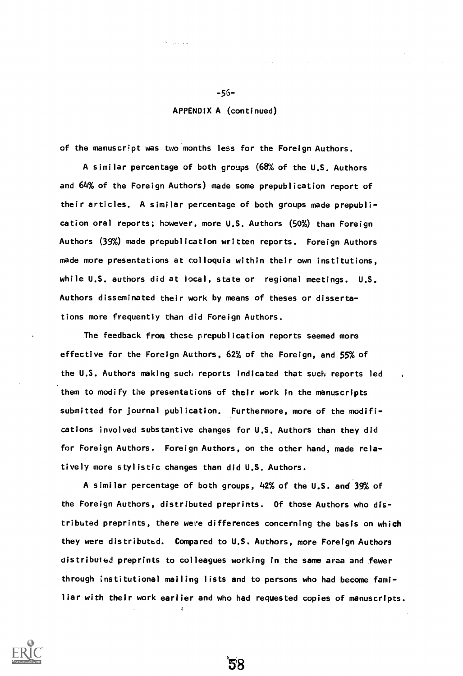### APPENDIX A (continued)

of the manuscript was two months less for the Foreign Authors.

A similar percentage of both groups (68% of the U.S. Authors and 64% of the Foreign Authors) made some prepublication report of their articles. A similar percentage of both groups made prepublication oral reports; however, more U.S. Authors (50%) than Foreign Authors (39%) made prepublication written reports. Foreign Authors made more presentations at colloquia within their own institutions, while U.S. authors did at local, state or regional meetings. U.S. Authors disseminated their work by means of theses or dissertations more frequently than did Foreign Authors.

The feedback from these prepublication reports seemed more effective for the Foreign Authors, 62% of the Foreign, and 55% of the U.S. Authors making such reports indicated that such reports led them to modify the presentations of their work in the manuscripts submitted for journal publication. Furthermore, more of the modifications involved substantive changes for U.S. Authors than they did for Foreign Authors. Foreign Authors, on the other hand, made relatively more stylistic changes than did U.S. Authors.

A similar percentage of both groups, 42% of the U.S. and 39% of the Foreign Authors, distributed preprints. Of those Authors who distributed preprints, there were differences concerning the basis on which they were distributed. Compared to U.S, Authors, more Foreign Authors distributed preprints to colleagues working in the same area and fewer through institutional mailing lists and to persons who had become familiar with their work earlier and who had requested copies of manuscripts.

58



-56-

 $\sim 10^{-1}$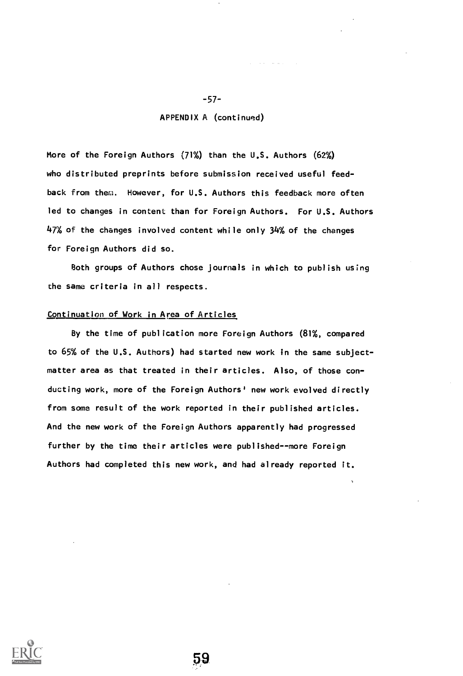### APPENDIX A (continued)

-57-

More of the Foreign Authors  $(71%)$  than the U.S. Authors  $(62%)$ who distributed preprints before submission received useful feedback from them. However, for U.S. Authors this feedback more often led to changes in content than for Foreign Authors. For U.S. Authors 47% of the changes involved content while only 34% of the changes for Foreign Authors did so.

Both groups of Authors chose journals in which to publish using the same criteria in all respects.

### Continuation of Work in Area of Articles

By the time of publication more Foreign Authors (81%, compared to 65% of the U.S. Authors) had started new work in the same subjectmatter area as that treated in their articles. Also, of those conducting work, more of the Foreign Authors' new work evolved directly from some result of the work reported in their published articles. And the new work of the Foreign Authors apparently had progressed further by the time their articles were published--more Foreign Authors had completed this new work, and had already reported it.



59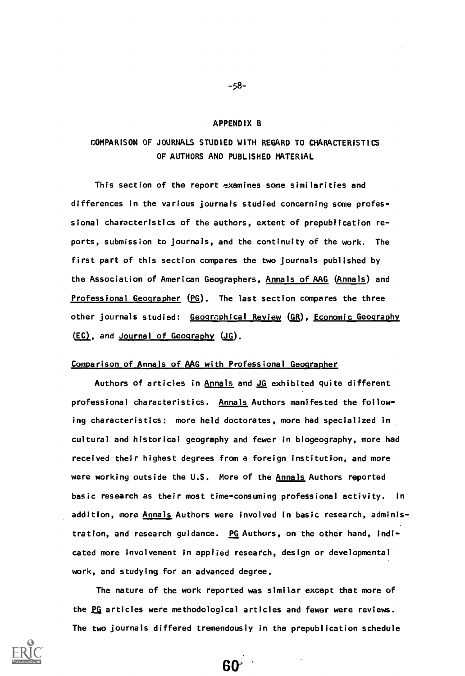#### APPENDIX B

# COMPARISON OF JOURNALS STUDIED WITH REGARD TO CHARACTERISTICS OF AUTHORS AND PUBLISHED MATERIAL

This section of the report examines some similarities and differences in the various journals studied concerning some professional characteristics of the authors, extent of prepublication reports, submission to journals, and the continuity of the work. The first part of this section compares the two journals published by the Association of American Geographers, Annals of AAG (Annals) and Professional Geographer (PG). The last section compares the three other journals studied: Geographical Review (GR), Economic Geography  $(EC)$ , and Journal of Geography  $(JG)$ .

### Comparison of Annals of AAG with Professional Geographer

Authors of articles in Annals and JG exhibited quite different professional characteristics. Annals Authors manifested the following characteristics: more held doctorates, more had specialized in cultural and historical geography and fewer in biogeography, more had received their highest degrees from a foreign institution, and more were working outside the U.S. More of the Annals Authors reported basic research as their most time-consuming professional activity. In addition, more Annals Authors were involved in basic research, administration, and research guidance. PG Authors, on the other hand, indicated more involvement in applied research, design or developmental work, and studying for an advanced degree.

The nature of the work reported was similar except that more of the PG articles were methodological articles and fewer were reviews. The two journals differed tremendously in the prepublication schedule

60'



-58-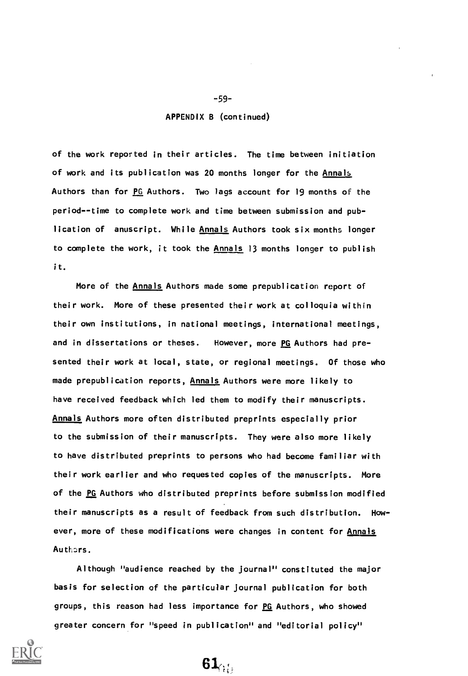### APPENDIX B (continued)

of the work reported in their articles. The time between initiation of work and its publication was 20 months longer for the Annals Authors than for PG Authors. Two lags account for 19 months of the period--time to complete work and time between submission and publication of anuscript. While Annals Authors took six months longer to complete the work, it took the Annals 13 months longer to publish it.

More of the Annals Authors made some prepublication report of their work. More of these presented their work at colloquia within their own institutions, in national meetings, international meetings, and in dissertations or theses. However, more PG Authors had presented their work at local, state, or regional meetings. Of those who made prepublication reports, Annals Authors were more likely to have received feedback which led them to modify their manuscripts. Annals Authors more often distributed preprints especially prior to the submission of their manuscripts. They were also more likely to have distributed preprints to persons who had become familiar with their work earlier and who requested copies of the manuscripts. More of the PG Authors who distributed preprints before submission modified their manuscripts as a result of feedback from such distribution. However, more of these modifications were changes in content for Annals Authors.

Although "audience reached by the journal" constituted the major basis for selection of the particular journal publication for both groups, this reason had less importance for PG Authors, who showed greater concern for "speed in publication" and "editorial policy"



 $61$ 

-59-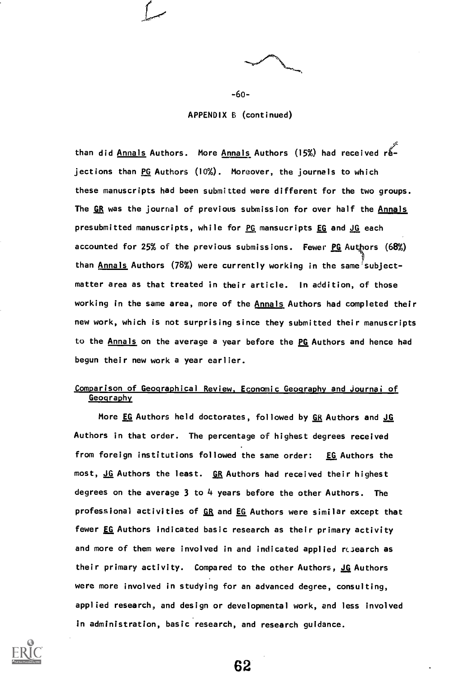

-6o-

APPENDIX 6 (continued)

than did Annals Authors. More Annals Authors (15%) had received rejections than PG Authors (10%). Moreover, the journals to which these manuscripts had been submitted were different for the two groups. The GR was the journal of previous submission for over half the Annals presubmitted manuscripts, while for PG mansucripts EG and JG each accounted for 25% of the previous submissions. Fewer PG Authors (68%) than Annals Authors (78%) were currently working in the same subjectmatter area as that treated in their article. In addition, of those working in the same area, more of the Annals Authors had completed their new work, which is not surprising since they submitted their manuscripts to the Annals on the average a year before the PG Authors and hence had begun their new work a year earlier.

### Comparison of Geographical Review, Economic Geography and Journal of **Geography**

More EG Authors held doctorates, followed by GR Authors and JG Authors in that order. The percentage of highest degrees received from foreign institutions followed the same order: EG Authors the most, <u>JG</u> Authors the least. GR Authors had received their highest degrees on the average 3 to 4 years before the other Authors. The professional activities of GR and EG Authors were similar except that fewer EG Authors indicated basic research as their primary activity and more of them were involved in and indicated applied research as their primary activity. Compared to the other Authors, JG Authors were more involved in studying for an advanced degree, consulting, applied research, and design or developmental work, and less involved in administration, basic research, and research guidance.



62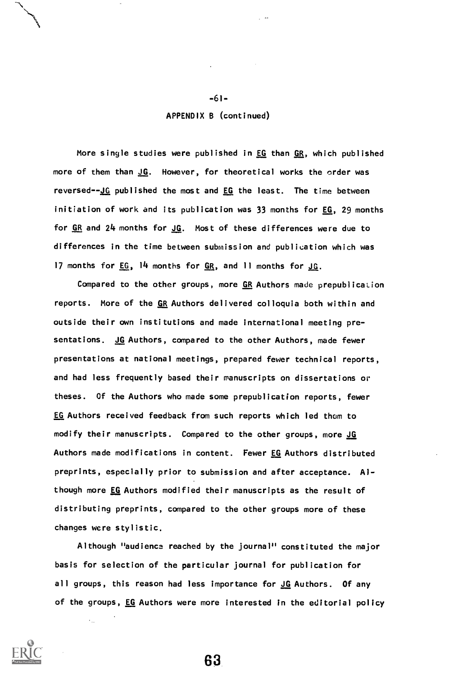### APPENDIX B (continued)

-61-

More single studies were published in EG than GR, which published more of them than JG. However, for theoretical works the order was reversed--JG published the most and EG the least. The time between initiation of work and its publication was 33 months for EG, 29 months for  $GR$  and  $24$  months for  $JG$ . Most of these differences were due to</u> differences in the time between submission and publication which was 17 months for EG, 14 months for GR, and 11 months for JG.

Compared to the other groups, more GR Authors made prepublication reports. More of the GR Authors delivered colloquia both within and outside their own institutions and made international meeting presentations. JG Authors, compared to the other Authors, made fewer presentations at national meetings, prepared fewer technical reports, and had less frequently based their manuscripts on dissertations or theses. Of the Authors who made some prepublication reports, fewer EG Authors received feedback from such reports which led them to modify their manuscripts. Compared to the other groups, more JG Authors made modifications in content. Fewer EG Authors distributed preprints, especially prior to submission and after acceptance. Although more EG Authors modified their manuscripts as the result of distributing preprints, compared to the other groups more of these changes were stylistic.

Although "audience reached by the journal" constituted the major basis for selection of the particular journal for publication for all groups, this reason had less importance for JG Authors. Of any of the groups, EG Authors were more interested in the editorial policy



63